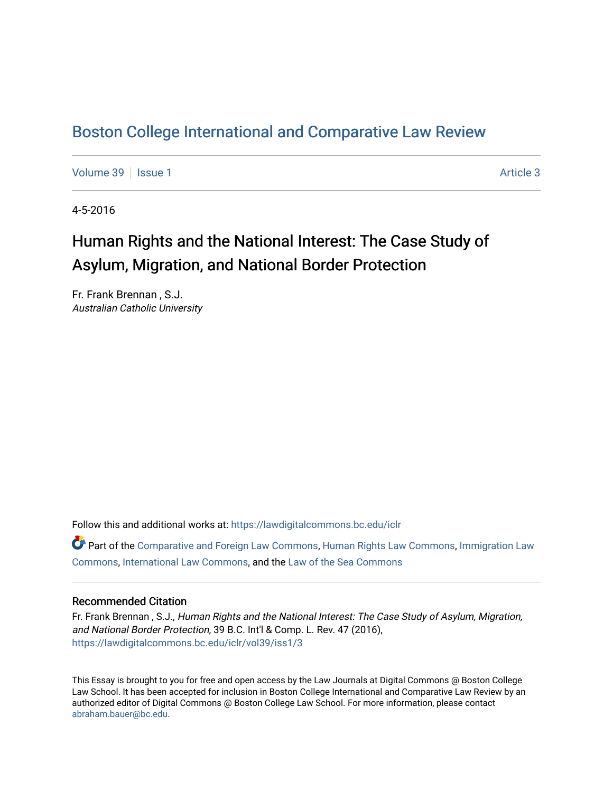# [Boston College International and Comparative Law Review](https://lawdigitalcommons.bc.edu/iclr)

[Volume 39](https://lawdigitalcommons.bc.edu/iclr/vol39) | [Issue 1](https://lawdigitalcommons.bc.edu/iclr/vol39/iss1) Article 3

4-5-2016

# Human Rights and the National Interest: The Case Study of Asylum, Migration, and National Border Protection

Fr. Frank Brennan , S.J. Australian Catholic University

Follow this and additional works at: [https://lawdigitalcommons.bc.edu/iclr](https://lawdigitalcommons.bc.edu/iclr?utm_source=lawdigitalcommons.bc.edu%2Ficlr%2Fvol39%2Fiss1%2F3&utm_medium=PDF&utm_campaign=PDFCoverPages) 

Part of the [Comparative and Foreign Law Commons,](http://network.bepress.com/hgg/discipline/836?utm_source=lawdigitalcommons.bc.edu%2Ficlr%2Fvol39%2Fiss1%2F3&utm_medium=PDF&utm_campaign=PDFCoverPages) [Human Rights Law Commons,](http://network.bepress.com/hgg/discipline/847?utm_source=lawdigitalcommons.bc.edu%2Ficlr%2Fvol39%2Fiss1%2F3&utm_medium=PDF&utm_campaign=PDFCoverPages) [Immigration Law](http://network.bepress.com/hgg/discipline/604?utm_source=lawdigitalcommons.bc.edu%2Ficlr%2Fvol39%2Fiss1%2F3&utm_medium=PDF&utm_campaign=PDFCoverPages)  [Commons](http://network.bepress.com/hgg/discipline/604?utm_source=lawdigitalcommons.bc.edu%2Ficlr%2Fvol39%2Fiss1%2F3&utm_medium=PDF&utm_campaign=PDFCoverPages), [International Law Commons,](http://network.bepress.com/hgg/discipline/609?utm_source=lawdigitalcommons.bc.edu%2Ficlr%2Fvol39%2Fiss1%2F3&utm_medium=PDF&utm_campaign=PDFCoverPages) and the [Law of the Sea Commons](http://network.bepress.com/hgg/discipline/855?utm_source=lawdigitalcommons.bc.edu%2Ficlr%2Fvol39%2Fiss1%2F3&utm_medium=PDF&utm_campaign=PDFCoverPages)

## Recommended Citation

Fr. Frank Brennan , S.J., Human Rights and the National Interest: The Case Study of Asylum, Migration, and National Border Protection, 39 B.C. Int'l & Comp. L. Rev. 47 (2016), [https://lawdigitalcommons.bc.edu/iclr/vol39/iss1/3](https://lawdigitalcommons.bc.edu/iclr/vol39/iss1/3?utm_source=lawdigitalcommons.bc.edu%2Ficlr%2Fvol39%2Fiss1%2F3&utm_medium=PDF&utm_campaign=PDFCoverPages)

This Essay is brought to you for free and open access by the Law Journals at Digital Commons @ Boston College Law School. It has been accepted for inclusion in Boston College International and Comparative Law Review by an authorized editor of Digital Commons @ Boston College Law School. For more information, please contact [abraham.bauer@bc.edu.](mailto:abraham.bauer@bc.edu)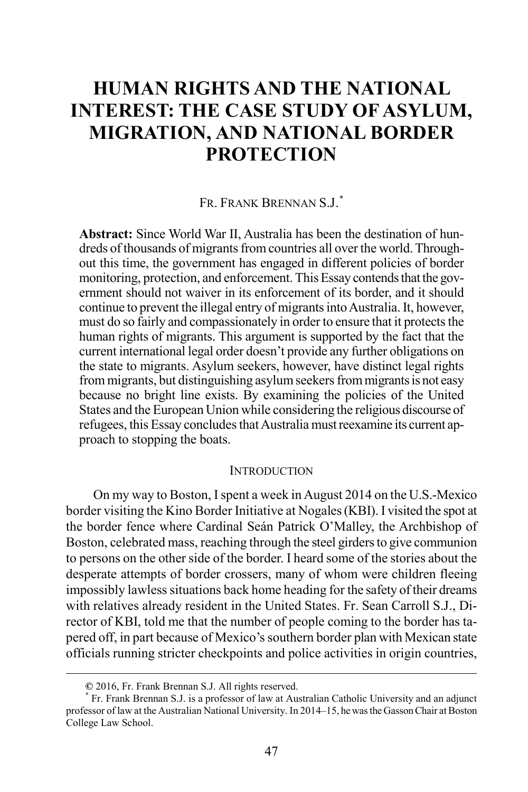# **HUMAN RIGHTS AND THE NATIONAL INTEREST: THE CASE STUDY OF ASYLUM, MIGRATION, AND NATIONAL BORDER PROTECTION**

## FR. FRANK BRENNAN S.J.[\\*](#page-1-0)

**Abstract:** Since World War II, Australia has been the destination of hundreds of thousands of migrants from countries all over the world. Throughout this time, the government has engaged in different policies of border monitoring, protection, and enforcement. This Essay contends that the government should not waiver in its enforcement of its border, and it should continue to prevent the illegal entry of migrants into Australia. It, however, must do so fairly and compassionately in order to ensure that it protects the human rights of migrants. This argument is supported by the fact that the current international legal order doesn't provide any further obligations on the state to migrants. Asylum seekers, however, have distinct legal rights from migrants, but distinguishing asylum seekers from migrants is not easy because no bright line exists. By examining the policies of the United States and the European Union while considering the religious discourse of refugees, this Essay concludes that Australia must reexamine its current approach to stopping the boats.

#### **INTRODUCTION**

On my way to Boston, I spent a week in August 2014 on the U.S.-Mexico border visiting the Kino Border Initiative at Nogales (KBI). I visited the spot at the border fence where Cardinal Seán Patrick O'Malley, the Archbishop of Boston, celebrated mass, reaching through the steel girders to give communion to persons on the other side of the border. I heard some of the stories about the desperate attempts of border crossers, many of whom were children fleeing impossibly lawless situations back home heading for the safety of their dreams with relatives already resident in the United States. Fr. Sean Carroll S.J., Director of KBI, told me that the number of people coming to the border has tapered off, in part because of Mexico's southern border plan with Mexican state officials running stricter checkpoints and police activities in origin countries,

 $\overline{a}$ 

<span id="page-1-0"></span>**<sup>©</sup>** 2016, Fr. Frank Brennan S.J. All rights reserved.<br><sup>\*</sup> Fr. Frank Brennan S.J. is a professor of law at Australian Catholic University and an adjunct professor of law at the Australian National University. In 2014–15, he was the Gasson Chair at Boston College Law School.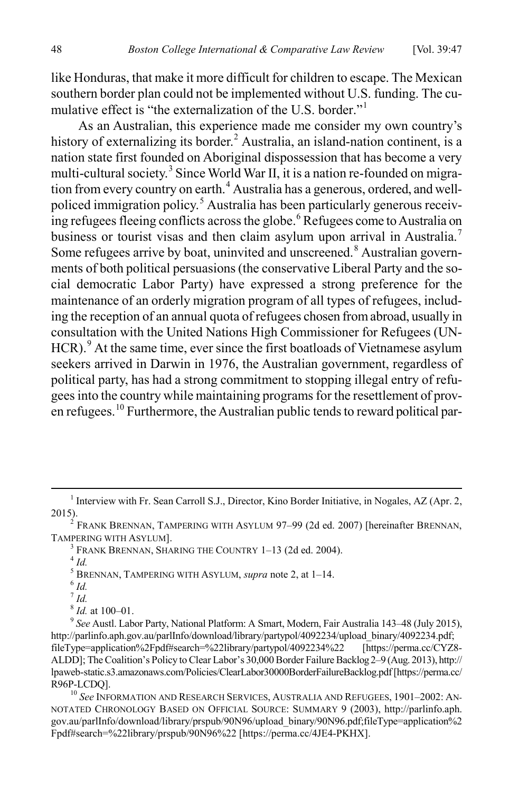like Honduras, that make it more difficult for children to escape. The Mexican southern border plan could not be implemented without U.S. funding. The cu-mulative effect is "the externalization of the U.S. border."<sup>[1](#page-2-1)</sup>

<span id="page-2-0"></span>As an Australian, this experience made me consider my own country's history of externalizing its border.<sup>[2](#page-2-2)</sup> Australia, an island-nation continent, is a nation state first founded on Aboriginal dispossession that has become a very multi-cultural society.<sup>[3](#page-2-3)</sup> Since World War II, it is a nation re-founded on migration from every country on earth. [4](#page-2-4) Australia has a generous, ordered, and wellpoliced immigration policy.[5](#page-2-5) Australia has been particularly generous receiv-ing refugees fleeing conflicts across the globe.<sup>[6](#page-2-6)</sup> Refugees come to Australia on business or tourist visas and then claim asylum upon arrival in Australia.<sup>[7](#page-2-7)</sup> Some refugees arrive by boat, uninvited and unscreened.<sup>[8](#page-2-8)</sup> Australian governments of both political persuasions (the conservative Liberal Party and the social democratic Labor Party) have expressed a strong preference for the maintenance of an orderly migration program of all types of refugees, including the reception of an annual quota of refugees chosen from abroad, usually in consultation with the United Nations High Commissioner for Refugees (UN-HCR).<sup>[9](#page-2-9)</sup> At the same time, ever since the first boatloads of Vietnamese asylum seekers arrived in Darwin in 1976, the Australian government, regardless of political party, has had a strong commitment to stopping illegal entry of refugees into the country while maintaining programs for the resettlement of prov-en refugees.<sup>[10](#page-2-10)</sup> Furthermore, the Australian public tends to reward political par-

<span id="page-2-4"></span><span id="page-2-3"></span><span id="page-2-2"></span> $\frac{2}{3}$  FRANK BRENNAN, TAMPERING WITH ASYLUM 97–99 (2d ed. 2007) [hereinafter BRENNAN, TAMPERING WITH ASYLUM]. 3

- <span id="page-2-5"></span>
- 
- $\int_8^7$  *Id.* at 100–01.

<span id="page-2-1"></span> $<sup>1</sup>$  Interview with Fr. Sean Carroll S.J., Director, Kino Border Initiative, in Nogales, AZ (Apr. 2,</sup> 2015). <sup>2</sup>

 $^3$  FRANK BRENNAN, SHARING THE COUNTRY  $1\text{--}13$  (2d ed. 2004).  $^4$   $Id.$ 

<sup>5</sup> BRENNAN, TAMPERING WITH ASYLUM, *supra* note [2,](#page-2-0) at 1–14. <sup>6</sup> *Id.*

<span id="page-2-9"></span><span id="page-2-8"></span><span id="page-2-7"></span><span id="page-2-6"></span><sup>&</sup>lt;sup>9</sup> See Austl. Labor Party, National Platform: A Smart, Modern, Fair Australia 143-48 (July 2015), http://parlinfo.aph.gov.au/parlInfo/download/library/partypol/4092234/upload\_binary/4092234.pdf; fileType=application%2Fpdf#search=%22library/partypol/4092234%22 [https://perma.cc/CYZ8- ALDD]; The Coalition's Policy to Clear Labor's 30,000 Border Failure Backlog 2–9 (Aug. 2013), http:// lpaweb-static.s3.amazonaws.com/Policies/ClearLabor30000BorderFailureBacklog.pdf [https://perma.cc/ R96P-LCDQ].

<span id="page-2-10"></span><sup>10</sup> *See* INFORMATION AND RESEARCH SERVICES, AUSTRALIA AND REFUGEES, 1901–2002: AN-NOTATED CHRONOLOGY BASED ON OFFICIAL SOURCE: SUMMARY 9 (2003), http://parlinfo.aph. gov.au/parlInfo/download/library/prspub/90N96/upload\_binary/90N96.pdf;fileType=application%2 Fpdf#search=%22library/prspub/90N96%22 [https://perma.cc/4JE4-PKHX].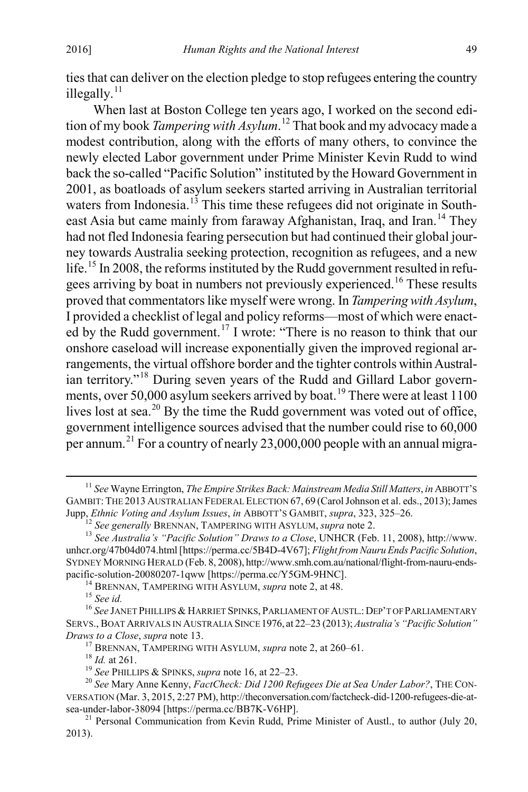ties that can deliver on the election pledge to stop refugees entering the country illegally.<sup>[11](#page-3-2)</sup>

<span id="page-3-1"></span><span id="page-3-0"></span>When last at Boston College ten years ago, I worked on the second edition of my book *Tampering with Asylum*. [12](#page-3-3) That book and my advocacy made a modest contribution, along with the efforts of many others, to convince the newly elected Labor government under Prime Minister Kevin Rudd to wind back the so-called "Pacific Solution" instituted by the Howard Government in 2001, as boatloads of asylum seekers started arriving in Australian territorial waters from Indonesia.<sup>[13](#page-3-4)</sup> This time these refugees did not originate in South-east Asia but came mainly from faraway Afghanistan, Iraq, and Iran.<sup>[14](#page-3-5)</sup> They had not fled Indonesia fearing persecution but had continued their global journey towards Australia seeking protection, recognition as refugees, and a new life.<sup>[15](#page-3-6)</sup> In 2008, the reforms instituted by the Rudd government resulted in refu-gees arriving by boat in numbers not previously experienced.<sup>[16](#page-3-7)</sup> These results proved that commentators like myself were wrong. In *Tampering with Asylum*, I provided a checklist of legal and policy reforms—most of which were enact-ed by the Rudd government.<sup>[17](#page-3-8)</sup> I wrote: "There is no reason to think that our onshore caseload will increase exponentially given the improved regional arrangements, the virtual offshore border and the tighter controls within Australian territory."[18](#page-3-9) During seven years of the Rudd and Gillard Labor govern-ments, over 50,000 asylum seekers arrived by boat.<sup>[19](#page-3-10)</sup> There were at least 1100 lives lost at sea.<sup>[20](#page-3-11)</sup> By the time the Rudd government was voted out of office, government intelligence sources advised that the number could rise to 60,000 per annum.[21](#page-3-12) For a country of nearly 23,000,000 people with an annual migra-

<span id="page-3-8"></span><span id="page-3-7"></span><span id="page-3-6"></span><span id="page-3-5"></span>SERVS., BOAT ARRIVALS IN AUSTRALIA SINCE 1976, at 22–23 (2013); *Australia's "Pacific Solution"*  Draws to a Close, supra note 13.<br><sup>17</sup> BRENNAN, TAMPERING WITH ASYLUM, *supra* not[e 2,](#page-2-0) at 260–61.<br><sup>18</sup> Id. at 261.<br><sup>19</sup> See PHILLIPS & SPINKS, *supra* not[e 16,](#page-3-1) at 22–23.<br><sup>20</sup> See Mary Anne Kenny, *FactCheck: Did 1200 Refuge* 

<span id="page-3-2"></span> <sup>11</sup> *See* Wayne Errington, *The Empire Strikes Back: Mainstream Media Still Matters*, *in* ABBOTT'S GAMBIT: THE 2013 AUSTRALIAN FEDERAL ELECTION 67, 69 (Carol Johnson et al. eds., 2013); James Jupp, *Ethnic Voting and Asylum Issues, in ABBOTT'S GAMBIT, supra, 323, 325–26.*<br><sup>12</sup> See generally BRENNAN, TAMPERING WITH ASYLUM, *supra* note 2.<br><sup>13</sup> See Australia's "Pacific Solution" Draws to a Close, UNHCR (Feb. 11,

<span id="page-3-4"></span><span id="page-3-3"></span>unhcr.org/47b04d074.html [https://perma.cc/5B4D-4V67]; *Flight from Nauru Ends Pacific Solution*, SYDNEY MORNING HERALD (Feb. 8, 2008), http://www.smh.com.au/national/flight-from-nauru-endspacific-solution-20080207-1qww [https://perma.cc/Y5GM-9HNC].<br><sup>14</sup> BRENNAN, TAMPERING WITH ASYLUM, *supra* not[e 2,](#page-2-0) at 48.<br><sup>15</sup> See id.<br><sup>16</sup> See JANET PHILLIPS & HARRIET SPINKS, PARLIAMENT OF AUSTL.: DEP'T OF PARLIAMENTARY

<span id="page-3-11"></span><span id="page-3-10"></span><span id="page-3-9"></span>VERSATION (Mar. 3, 2015, 2:27 PM), http://theconversation.com/factcheck-did-1200-refugees-die-atsea-under-labor-38094 [https://perma.cc/BB7K-V6HP].<br><sup>21</sup> Personal Communication from Kevin Rudd, Prime Minister of Austl., to author (July 20,

<span id="page-3-12"></span><sup>2013).</sup>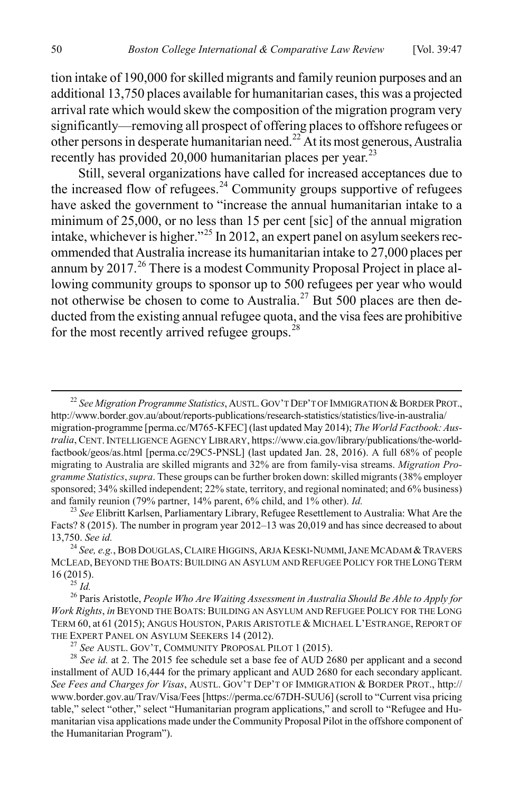tion intake of 190,000 for skilled migrants and family reunion purposes and an additional 13,750 places available for humanitarian cases, this was a projected arrival rate which would skew the composition of the migration program very significantly—removing all prospect of offering places to offshore refugees or other persons in desperate humanitarian need.<sup>[22](#page-4-0)</sup> At its most generous, Australia recently has provided  $20,000$  humanitarian places per year.<sup>[23](#page-4-1)</sup>

<span id="page-4-8"></span><span id="page-4-7"></span>Still, several organizations have called for increased acceptances due to the increased flow of refugees.<sup>[24](#page-4-2)</sup> Community groups supportive of refugees have asked the government to "increase the annual humanitarian intake to a minimum of 25,000, or no less than 15 per cent [sic] of the annual migration intake, whichever is higher."<sup>[25](#page-4-3)</sup> In 2012, an expert panel on asylum seekers recommended that Australia increase its humanitarian intake to 27,000 places per annum by  $2017<sup>26</sup>$  $2017<sup>26</sup>$  $2017<sup>26</sup>$  There is a modest Community Proposal Project in place allowing community groups to sponsor up to 500 refugees per year who would not otherwise be chosen to come to Australia.<sup>[27](#page-4-5)</sup> But 500 places are then deducted from the existing annual refugee quota, and the visa fees are prohibitive for the most recently arrived refugee groups.<sup>[28](#page-4-6)</sup>

<span id="page-4-0"></span><sup>22</sup> See Migration Programme Statistics, AUSTL. GOV'T DEP'T OF IMMIGRATION & BORDER PROT., http://www.border.gov.au/about/reports-publications/research-statistics/statistics/live-in-australia/ migration-programme [perma.cc/M765-KFEC] (last updated May 2014); *The World Factbook: Australia*, CENT.INTELLIGENCE AGENCY LIBRARY, https://www.cia.gov/library/publications/the-worldfactbook/geos/as.html [perma.cc/29C5-PNSL] (last updated Jan. 28, 2016). A full 68% of people migrating to Australia are skilled migrants and 32% are from family-visa streams. *Migration Programme Statistics*, *supra*. These groups can be further broken down: skilled migrants (38% employer sponsored; 34% skilled independent; 22% state, territory, and regional nominated; and 6% business) and family reunion (79% partner, 14% parent, 6% child, and 1% other). *Id*.

<span id="page-4-1"></span><sup>23</sup> See Elibritt Karlsen, Parliamentary Library, Refugee Resettlement to Australia: What Are the Facts? 8 (2015). The number in program year 2012–13 was 20,019 and has since decreased to about 13,750. *See id.* <sup>24</sup> *See, e.g.*, BOB DOUGLAS,CLAIRE HIGGINS, ARJA KESKI-NUMMI,JANE MCADAM &TRAVERS

<span id="page-4-2"></span>MCLEAD, BEYOND THE BOATS: BUILDING AN ASYLUM AND REFUGEE POLICY FOR THE LONG TERM <sup>16</sup> (2015). 25 *Id.* <sup>26</sup> Paris Aristotle, *People Who Are Waiting Assessment in Australia Should Be Able to Apply for* 

<span id="page-4-4"></span><span id="page-4-3"></span>*Work Rights*, *in* BEYOND THE BOATS: BUILDING AN ASYLUM AND REFUGEE POLICY FOR THE LONG TERM 60, at 61 (2015); ANGUS HOUSTON, PARIS ARISTOTLE & MICHAEL L'ESTRANGE, REPORT OF THE EXPERT PANEL ON ASYLUM SEEKERS 14 (2012). <sup>27</sup> *See* AUSTL. GOV'T, COMMUNITY PROPOSAL PILOT 1 (2015). 28 *See id.* a[t 2.](#page-2-0) The 2015 fee schedule set a base fee of AUD 2680 per applicant and a second

<span id="page-4-6"></span><span id="page-4-5"></span>installment of AUD 16,444 for the primary applicant and AUD 2680 for each secondary applicant. *See Fees and Charges for Visas*, AUSTL. GOV'T DEP'T OF IMMIGRATION & BORDER PROT., http:// www.border.gov.au/Trav/Visa/Fees [https://perma.cc/67DH-SUU6] (scroll to "Current visa pricing table," select "other," select "Humanitarian program applications," and scroll to "Refugee and Humanitarian visa applications made under the Community Proposal Pilot in the offshore component of the Humanitarian Program").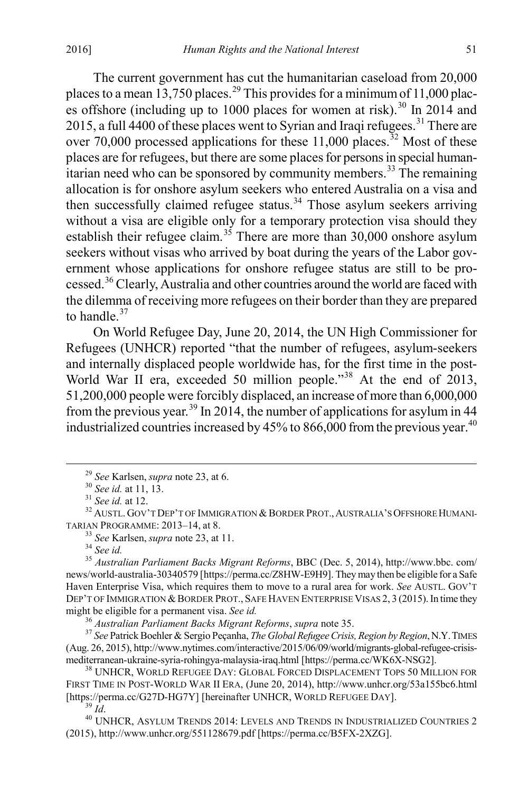The current government has cut the humanitarian caseload from 20,000 places to a mean  $13,750$  places.<sup>[29](#page-5-1)</sup> This provides for a minimum of 11,000 plac-es offshore (including up to 1000 places for women at risk).<sup>[30](#page-5-2)</sup> In 2014 and 2015, a full  $\frac{4400}{9}$  of these places went to Syrian and Iraqi refugees.<sup>[31](#page-5-3)</sup> There are over 70,000 processed applications for these 11,000 places.<sup>[32](#page-5-4)</sup> Most of these places are for refugees, but there are some places for persons in special human-itarian need who can be sponsored by community members.<sup>[33](#page-5-5)</sup> The remaining allocation is for onshore asylum seekers who entered Australia on a visa and then successfully claimed refugee status.<sup>[34](#page-5-6)</sup> Those asylum seekers arriving without a visa are eligible only for a temporary protection visa should they establish their refugee claim.<sup>[35](#page-5-7)</sup> There are more than 30,000 onshore asylum seekers without visas who arrived by boat during the years of the Labor government whose applications for onshore refugee status are still to be processed.[36](#page-5-8) Clearly, Australia and other countries around the world are faced with the dilemma of receiving more refugees on their border than they are prepared to handle  $37$ 

<span id="page-5-13"></span><span id="page-5-0"></span>On World Refugee Day, June 20, 2014, the UN High Commissioner for Refugees (UNHCR) reported "that the number of refugees, asylum-seekers and internally displaced people worldwide has, for the first time in the post-World War II era, exceeded 50 million people."<sup>[38](#page-5-10)</sup> At the end of 2013, 51,200,000 people were forcibly displaced, an increase of more than 6,000,000 from the previous year.<sup>[39](#page-5-11)</sup> In 2014, the number of applications for asylum in 44 industrialized countries increased by 45% to 866,000 from the previous year.<sup>[40](#page-5-12)</sup>

<span id="page-5-7"></span><span id="page-5-6"></span><span id="page-5-5"></span><span id="page-5-4"></span><sup>33</sup> *See* Karlsen, *supra* note [23,](#page-4-7) at 11.<br><sup>34</sup> *See id.*<br><sup>35</sup> *Australian Parliament Backs Migrant Reforms*, BBC (Dec. 5, 2014), http://www.bbc. com/ news/world-australia-30340579 [https://perma.cc/Z8HW-E9H9]. They may then be eligible for a Safe Haven Enterprise Visa, which requires them to move to a rural area for work. *See* AUSTL. GOV'T DEP'T OF IMMIGRATION & BORDER PROT., SAFE HAVEN ENTERPRISE VISAS 2, 3 (2015). In time they might be eligible for a permanent visa. See id.<br><sup>36</sup> Australian Parliament Backs Migrant Reforms, supra note 35.<br><sup>37</sup> See Patrick Boehler & Sergio Peçanha, *The Global Refugee Crisis, Region by Region*, N.Y. TIMES

<span id="page-5-9"></span><span id="page-5-8"></span>(Aug. 26, 2015), http://www.nytimes.com/interactive/2015/06/09/world/migrants-global-refugee-crisis-<br>mediterranean-ukraine-syria-rohingya-malaysia-iraq.html [https://perma.cc/WK6X-NSG2].

<span id="page-5-10"></span><sup>38</sup> UNHCR, WORLD REFUGEE DAY: GLOBAL FORCED DISPLACEMENT TOPS 50 MILLION FOR FIRST TIME IN POST-WORLD WAR II ERA, (June 20, 2014), http://www.unhcr.org/53a155bc6.html<br>[https://perma.cc/G27D-HG7Y] [hereinafter UNHCR, WORLD REFUGEE DAY].

<span id="page-5-12"></span><span id="page-5-11"></span><sup>39</sup> *Id.*<br><sup>40</sup> UNHCR, ASYLUM TRENDS 2014: LEVELS AND TRENDS IN INDUSTRIALIZED COUNTRIES 2 (2015), http://www.unhcr.org/551128679.pdf [https://perma.cc/B5FX-2XZG].

<span id="page-5-14"></span>

<span id="page-5-3"></span><span id="page-5-2"></span><span id="page-5-1"></span><sup>&</sup>lt;sup>29</sup> *See id.* at 11, 13.<br><sup>30</sup> *See id.* at 11, 13.<br><sup>31</sup> *See id.* at 12.<br><sup>32</sup> AUSTL. GOV'T DEP'T OF IMMIGRATION & BORDER PROT., AUSTRALIA'S OFFSHORE HUMANI-<br>TARIAN PROGRAMME: 2013–14, at 8.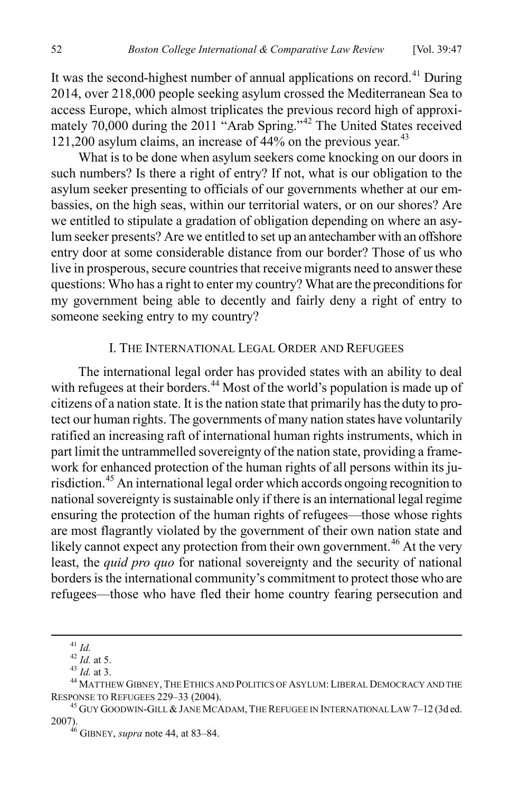It was the second-highest number of annual applications on record.<sup>[41](#page-6-1)</sup> During 2014, over 218,000 people seeking asylum crossed the Mediterranean Sea to access Europe, which almost triplicates the previous record high of approxi-mately 70,000 during the 2011 "Arab Spring."<sup>[42](#page-6-2)</sup> The United States received 121,200 asylum claims, an increase of  $44\%$  on the previous year.<sup>[43](#page-6-3)</sup>

What is to be done when asylum seekers come knocking on our doors in such numbers? Is there a right of entry? If not, what is our obligation to the asylum seeker presenting to officials of our governments whether at our embassies, on the high seas, within our territorial waters, or on our shores? Are we entitled to stipulate a gradation of obligation depending on where an asylum seeker presents? Are we entitled to set up an antechamber with an offshore entry door at some considerable distance from our border? Those of us who live in prosperous, secure countries that receive migrants need to answer these questions: Who has a right to enter my country? What are the preconditions for my government being able to decently and fairly deny a right of entry to someone seeking entry to my country?

#### <span id="page-6-0"></span>I. THE INTERNATIONAL LEGAL ORDER AND REFUGEES

<span id="page-6-7"></span>The international legal order has provided states with an ability to deal with refugees at their borders.<sup>[44](#page-6-4)</sup> Most of the world's population is made up of citizens of a nation state. It is the nation state that primarily has the duty to protect our human rights. The governments of many nation states have voluntarily ratified an increasing raft of international human rights instruments, which in part limit the untrammelled sovereignty of the nation state, providing a framework for enhanced protection of the human rights of all persons within its jurisdiction.[45](#page-6-5) An international legal order which accords ongoing recognition to national sovereignty is sustainable only if there is an international legal regime ensuring the protection of the human rights of refugees—those whose rights are most flagrantly violated by the government of their own nation state and likely cannot expect any protection from their own government.<sup>[46](#page-6-6)</sup> At the very least, the *quid pro quo* for national sovereignty and the security of national borders is the international community's commitment to protect those who are refugees—those who have fled their home country fearing persecution and

<span id="page-6-3"></span><span id="page-6-2"></span><span id="page-6-1"></span><sup>&</sup>lt;sup>41</sup> *Id.*<br><sup>42</sup> *Id.* at 5.<br><sup>43</sup> *Id.* at 3.<br><sup>44</sup> MATTHEW GIBNEY, THE ETHICS AND POLITICS OF ASYLUM: LIBERAL DEMOCRACY AND THE<br>RESPONSE TO REFUGEES 229–33 (2004).

<span id="page-6-6"></span><span id="page-6-5"></span><span id="page-6-4"></span> $^{45}$  GUY GOODWIN-GILL & JANE MCADAM, THE REFUGEE IN INTERNATIONAL LAW 7–12 (3d ed. 2007).

<sup>&</sup>lt;sup>46</sup> GIBNEY, *supra* not[e 44,](#page-6-0) at 83–84.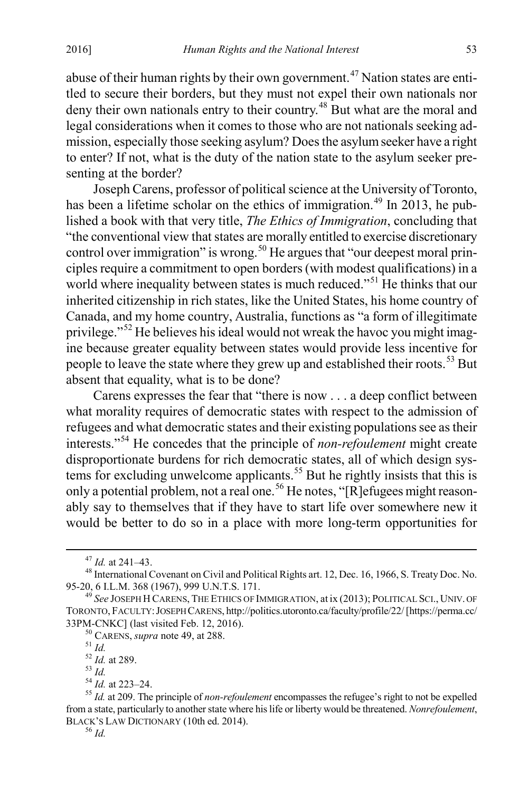abuse of their human rights by their own government.<sup>[47](#page-7-1)</sup> Nation states are entitled to secure their borders, but they must not expel their own nationals nor deny their own nationals entry to their country.<sup>48</sup> But what are the moral and legal considerations when it comes to those who are not nationals seeking admission, especially those seeking asylum? Does the asylum seeker have a right to enter? If not, what is the duty of the nation state to the asylum seeker presenting at the border?

<span id="page-7-0"></span>Joseph Carens, professor of political science at the University of Toronto, has been a lifetime scholar on the ethics of immigration.<sup>[49](#page-7-3)</sup> In 2013, he published a book with that very title, *The Ethics of Immigration*, concluding that "the conventional view that states are morally entitled to exercise discretionary control over immigration" is wrong.<sup>[50](#page-7-4)</sup> He argues that "our deepest moral principles require a commitment to open borders (with modest qualifications) in a world where inequality between states is much reduced."<sup>[51](#page-7-5)</sup> He thinks that our inherited citizenship in rich states, like the United States, his home country of Canada, and my home country, Australia, functions as "a form of illegitimate privilege."[52](#page-7-6) He believes his ideal would not wreak the havoc you might imagine because greater equality between states would provide less incentive for people to leave the state where they grew up and established their roots.<sup>[53](#page-7-7)</sup> But absent that equality, what is to be done?

Carens expresses the fear that "there is now . . . a deep conflict between what morality requires of democratic states with respect to the admission of refugees and what democratic states and their existing populations see as their interests."[54](#page-7-8) He concedes that the principle of *non-refoulement* might create disproportionate burdens for rich democratic states, all of which design sys-tems for excluding unwelcome applicants.<sup>[55](#page-7-9)</sup> But he rightly insists that this is only a potential problem, not a real one.<sup>[56](#page-7-10)</sup> He notes, "[R]efugees might reasonably say to themselves that if they have to start life over somewhere new it would be better to do so in a place with more long-term opportunities for

<span id="page-7-2"></span><span id="page-7-1"></span><sup>&</sup>lt;sup>47</sup> *Id.* at 241–43.<br><sup>48</sup> International Covenant on Civil and Political Rights art. 12, Dec. 16, 1966, S. Treaty Doc. No.<br>95-20, 6 I.L.M. 368 (1967), 999 U.N.T.S. 171.

<span id="page-7-5"></span><span id="page-7-4"></span><span id="page-7-3"></span><sup>&</sup>lt;sup>49</sup> See JOSEPH H CARENS, THE ETHICS OF IMMIGRATION, at ix (2013); POLITICAL SCI., UNIV. OF TORONTO, FACULTY:JOSEPH CARENS, http://politics.utoronto.ca/faculty/profile/22/ [https://perma.cc/ 33PM-CNKC] (last visited Feb. 12, 2016).<br><sup>50</sup> CARENS, *supra* not[e 49,](#page-7-0) at 288.<br><sup>51</sup> *Id.*<br><sup>52</sup> *Id.* at 289.<br><sup>53</sup> *Id.*<br><sup>54</sup> *Id.* at 223–24.<br><sup>55</sup> *Id.* at 209. The principle of *non-refoulement* encompasses the refugee's

<span id="page-7-10"></span><span id="page-7-9"></span><span id="page-7-8"></span><span id="page-7-7"></span><span id="page-7-6"></span>from a state, particularly to another state where his life or liberty would be threatened. *Nonrefoulement*, BLACK'S LAW DICTIONARY (10th ed. 2014). <sup>56</sup> *Id.*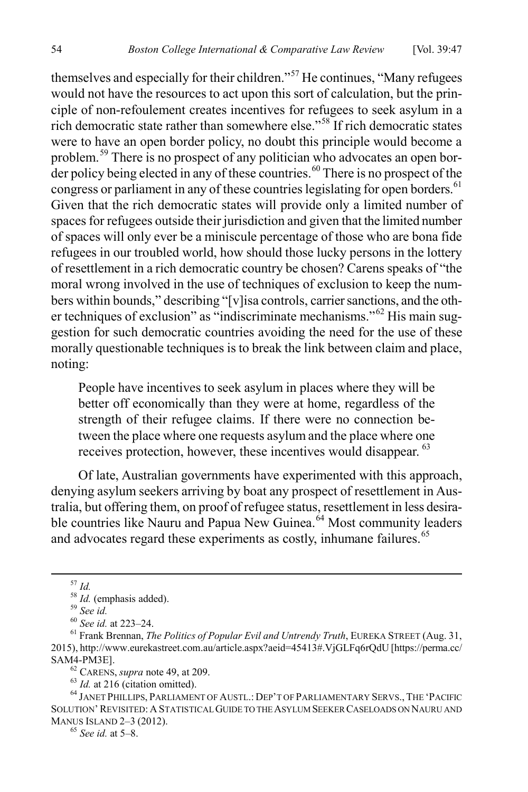<span id="page-8-9"></span>themselves and especially for their children."[57](#page-8-0) He continues, "Many refugees would not have the resources to act upon this sort of calculation, but the principle of non-refoulement creates incentives for refugees to seek asylum in a rich democratic state rather than somewhere else."[58](#page-8-1) If rich democratic states were to have an open border policy, no doubt this principle would become a problem.[59](#page-8-2) There is no prospect of any politician who advocates an open bor- $\det$  policy being elected in any of these countries.<sup>[60](#page-8-3)</sup> There is no prospect of the congress or parliament in any of these countries legislating for open borders.<sup>[61](#page-8-4)</sup> Given that the rich democratic states will provide only a limited number of spaces for refugees outside their jurisdiction and given that the limited number of spaces will only ever be a miniscule percentage of those who are bona fide refugees in our troubled world, how should those lucky persons in the lottery of resettlement in a rich democratic country be chosen? Carens speaks of "the moral wrong involved in the use of techniques of exclusion to keep the numbers within bounds," describing "[v]isa controls, carrier sanctions, and the oth-er techniques of exclusion" as "indiscriminate mechanisms."<sup>[62](#page-8-5)</sup> His main suggestion for such democratic countries avoiding the need for the use of these morally questionable techniques is to break the link between claim and place, noting:

People have incentives to seek asylum in places where they will be better off economically than they were at home, regardless of the strength of their refugee claims. If there were no connection between the place where one requests asylum and the place where one receives protection, however, these incentives would disappear. [63](#page-8-6)

Of late, Australian governments have experimented with this approach, denying asylum seekers arriving by boat any prospect of resettlement in Australia, but offering them, on proof of refugee status, resettlement in less desira-ble countries like Nauru and Papua New Guinea.<sup>[64](#page-8-7)</sup> Most community leaders and advocates regard these experiments as costly, inhumane failures.<sup>[65](#page-8-8)</sup>

<span id="page-8-8"></span>

<span id="page-8-3"></span><span id="page-8-2"></span><span id="page-8-1"></span><span id="page-8-0"></span><sup>57</sup> *Id.* <sup>58</sup> *Id.* (emphasis added). <sup>59</sup> *See id.* <sup>60</sup> *See id.* at 223–24. 61 Frank Brennan, *The Politics of Popular Evil and Untrendy Truth*, EUREKA STREET (Aug. 31, 2015), http://www.eurekastreet.com.au/article.aspx?aeid=45413#.VjGLFq6rQdU [https://perma.cc/

<span id="page-8-7"></span><span id="page-8-6"></span><span id="page-8-5"></span><span id="page-8-4"></span><sup>&</sup>lt;sup>62</sup> CARENS, *supra* note [49,](#page-7-0) at 209.<br><sup>63</sup> *Id.* at 216 (citation omitted).<br><sup>64</sup> JANET PHILLIPS, PARLIAMENT OF AUSTL.: DEP'T OF PARLIAMENTARY SERVS., THE 'PACIFIC SOLUTION'REVISITED: A STATISTICAL GUIDE TO THE ASYLUM SEEKER CASELOADS ON NAURU AND MANUS ISLAND 2–3 (2012). <sup>65</sup> *See id.* at 5–8.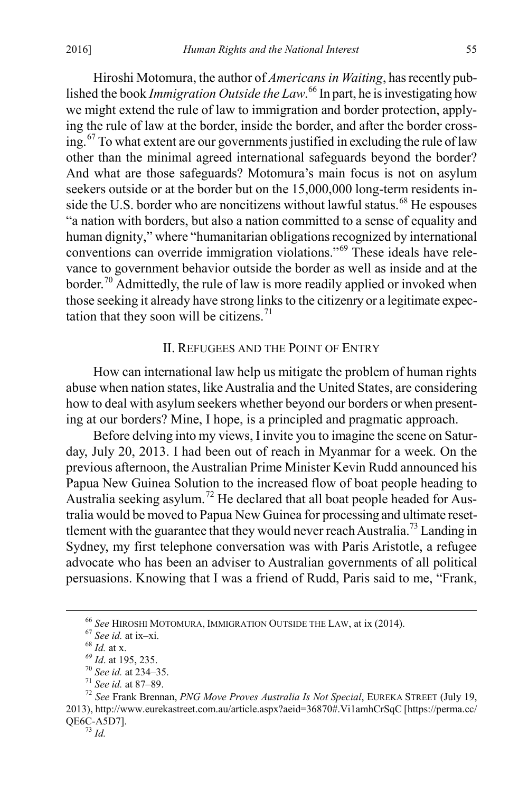Hiroshi Motomura, the author of *Americans in Waiting*, has recently published the book *Immigration Outside the Law*. [66](#page-9-0) In part, he is investigating how we might extend the rule of law to immigration and border protection, applying the rule of law at the border, inside the border, and after the border cross-ing.<sup>[67](#page-9-1)</sup> To what extent are our governments justified in excluding the rule of law other than the minimal agreed international safeguards beyond the border? And what are those safeguards? Motomura's main focus is not on asylum seekers outside or at the border but on the 15,000,000 long-term residents in-side the U.S. border who are noncitizens without lawful status.<sup>[68](#page-9-2)</sup> He espouses "a nation with borders, but also a nation committed to a sense of equality and human dignity," where "humanitarian obligations recognized by international conventions can override immigration violations."[69](#page-9-3) These ideals have relevance to government behavior outside the border as well as inside and at the border.<sup>[70](#page-9-4)</sup> Admittedly, the rule of law is more readily applied or invoked when those seeking it already have strong links to the citizenry or a legitimate expec-tation that they soon will be citizens.<sup>[71](#page-9-5)</sup>

#### II. REFUGEES AND THE POINT OF ENTRY

How can international law help us mitigate the problem of human rights abuse when nation states, like Australia and the United States, are considering how to deal with asylum seekers whether beyond our borders or when presenting at our borders? Mine, I hope, is a principled and pragmatic approach.

Before delving into my views, I invite you to imagine the scene on Saturday, July 20, 2013. I had been out of reach in Myanmar for a week. On the previous afternoon, the Australian Prime Minister Kevin Rudd announced his Papua New Guinea Solution to the increased flow of boat people heading to Australia seeking asylum.<sup>[72](#page-9-6)</sup> He declared that all boat people headed for Australia would be moved to Papua New Guinea for processing and ultimate resettlement with the guarantee that they would never reach Australia.[73](#page-9-7) Landing in Sydney, my first telephone conversation was with Paris Aristotle, a refugee advocate who has been an adviser to Australian governments of all political persuasions. Knowing that I was a friend of Rudd, Paris said to me, "Frank,

<span id="page-9-5"></span>

<span id="page-9-7"></span><span id="page-9-6"></span>

<span id="page-9-4"></span><span id="page-9-3"></span><span id="page-9-2"></span><span id="page-9-1"></span><span id="page-9-0"></span><sup>&</sup>lt;sup>66</sup> See HIROSHI MOTOMURA, IMMIGRATION OUTSIDE THE LAW, at ix (2014).<br>
<sup>67</sup> See id. at ix-xi.<br>
<sup>68</sup> Id. at x.<br>
<sup>68</sup> Id. at 195, 235.<br>
<sup>70</sup> See id. at 234–35.<br>
<sup>71</sup> See id. at 87–89.<br>
<sup>71</sup> See Frank Brennan, *PNG Move Prov* 2013), http://www.eurekastreet.com.au/article.aspx?aeid=36870#.Vi1amhCrSqC [https://perma.cc/ QE6C-A5D7]. <sup>73</sup> *Id.*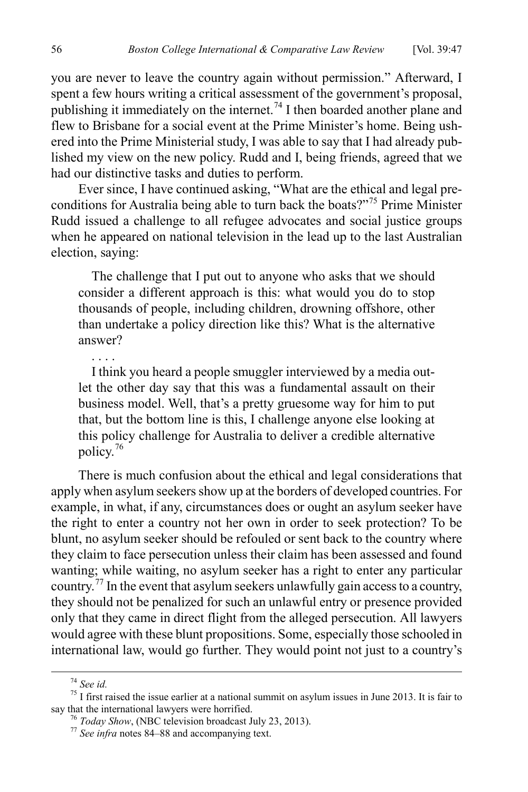you are never to leave the country again without permission." Afterward, I spent a few hours writing a critical assessment of the government's proposal, publishing it immediately on the internet.<sup>[74](#page-10-0)</sup> I then boarded another plane and flew to Brisbane for a social event at the Prime Minister's home. Being ushered into the Prime Ministerial study, I was able to say that I had already published my view on the new policy. Rudd and I, being friends, agreed that we had our distinctive tasks and duties to perform.

Ever since, I have continued asking, "What are the ethical and legal preconditions for Australia being able to turn back the boats?"[75](#page-10-1) Prime Minister Rudd issued a challenge to all refugee advocates and social justice groups when he appeared on national television in the lead up to the last Australian election, saying:

The challenge that I put out to anyone who asks that we should consider a different approach is this: what would you do to stop thousands of people, including children, drowning offshore, other than undertake a policy direction like this? What is the alternative answer?

. . . .

I think you heard a people smuggler interviewed by a media outlet the other day say that this was a fundamental assault on their business model. Well, that's a pretty gruesome way for him to put that, but the bottom line is this, I challenge anyone else looking at this policy challenge for Australia to deliver a credible alternative policy.[76](#page-10-2)

There is much confusion about the ethical and legal considerations that apply when asylum seekers show up at the borders of developed countries. For example, in what, if any, circumstances does or ought an asylum seeker have the right to enter a country not her own in order to seek protection? To be blunt, no asylum seeker should be refouled or sent back to the country where they claim to face persecution unless their claim has been assessed and found wanting; while waiting, no asylum seeker has a right to enter any particular country.<sup>[77](#page-10-3)</sup> In the event that asylum seekers unlawfully gain access to a country, they should not be penalized for such an unlawful entry or presence provided only that they came in direct flight from the alleged persecution. All lawyers would agree with these blunt propositions. Some, especially those schooled in international law, would go further. They would point not just to a country's

<span id="page-10-2"></span><span id="page-10-1"></span><span id="page-10-0"></span><sup>&</sup>lt;sup>74</sup> *See id.* <sup>75</sup> I first raised the issue earlier at a national summit on asylum issues in June 2013. It is fair to say that the international lawyers were horrified.

<span id="page-10-3"></span><sup>&</sup>lt;sup>76</sup> Today Show, (NBC television broadcast July 23, 2013). <sup>77</sup> See *infra* notes [84](#page-11-0)[–88](#page-13-0) and accompanying text.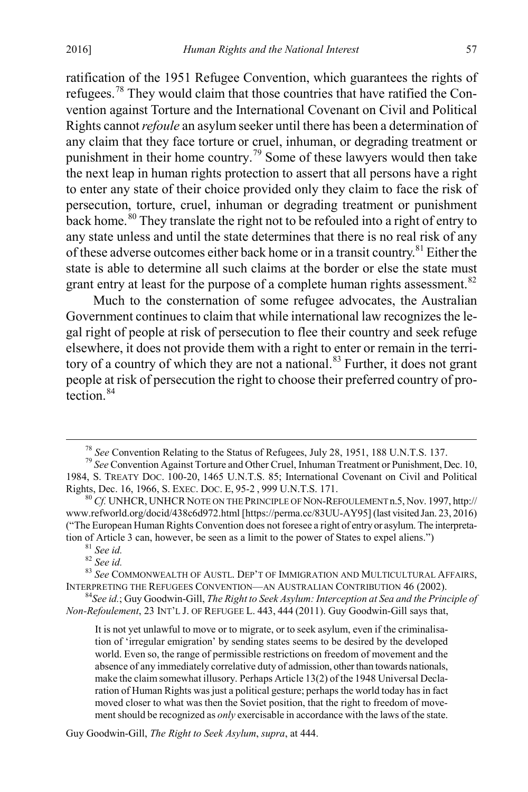ratification of the 1951 Refugee Convention, which guarantees the rights of refugees.<sup>[78](#page-11-1)</sup> They would claim that those countries that have ratified the Convention against Torture and the International Covenant on Civil and Political Rights cannot *refoule* an asylum seeker until there has been a determination of any claim that they face torture or cruel, inhuman, or degrading treatment or punishment in their home country.<sup>[79](#page-11-2)</sup> Some of these lawyers would then take the next leap in human rights protection to assert that all persons have a right to enter any state of their choice provided only they claim to face the risk of persecution, torture, cruel, inhuman or degrading treatment or punishment  $\frac{1}{2}$  back home.  $\frac{80}{2}$  $\frac{80}{2}$  $\frac{80}{2}$  They translate the right not to be refouled into a right of entry to any state unless and until the state determines that there is no real risk of any of these adverse outcomes either back home or in a transit country.<sup>[81](#page-11-4)</sup> Either the state is able to determine all such claims at the border or else the state must grant entry at least for the purpose of a complete human rights assessment.<sup>[82](#page-11-5)</sup>

Much to the consternation of some refugee advocates, the Australian Government continues to claim that while international law recognizes the legal right of people at risk of persecution to flee their country and seek refuge elsewhere, it does not provide them with a right to enter or remain in the terri-tory of a country of which they are not a national.<sup>[83](#page-11-6)</sup> Further, it does not grant people at risk of persecution the right to choose their preferred country of pro-tection [84](#page-11-7)

<span id="page-11-6"></span><span id="page-11-5"></span><span id="page-11-4"></span>INTERPRETING THE REFUGEES CONVENTION—AN AUSTRALIAN CONTRIBUTION <sup>46</sup> (2002). <sup>84</sup>*See id.*; Guy Goodwin-Gill, *The Right to Seek Asylum: Interception at Sea and the Principle of* 

<span id="page-11-7"></span>*Non-Refoulement*, 23 INT'L J. OF REFUGEE L. 443, 444 (2011). Guy Goodwin-Gill says that,

It is not yet unlawful to move or to migrate, or to seek asylum, even if the criminalisation of 'irregular emigration' by sending states seems to be desired by the developed world. Even so, the range of permissible restrictions on freedom of movement and the absence of any immediately correlative duty of admission, other than towards nationals, make the claim somewhat illusory. Perhaps Article 13(2) of the 1948 Universal Declaration of Human Rights was just a political gesture; perhaps the world today has in fact moved closer to what was then the Soviet position, that the right to freedom of movement should be recognized as *only* exercisable in accordance with the laws of the state.

Guy Goodwin-Gill, *The Right to Seek Asylum*, *supra*, at 444.

<span id="page-11-8"></span><span id="page-11-0"></span><sup>78</sup> *See* Convention Relating to the Status of Refugees, July 28, 1951, 188 U.N.T.S. 137. <sup>79</sup> *See* Convention Against Torture and Other Cruel, Inhuman Treatment or Punishment, Dec. 10,

<span id="page-11-2"></span><span id="page-11-1"></span><sup>1984,</sup> S. TREATY DOC. 100-20, 1465 U.N.T.S. 85; International Covenant on Civil and Political

<span id="page-11-3"></span> $^{80}$  Cf. UNHCR, UNHCR NOTE ON THE PRINCIPLE OF NON-REFOULEMENT n.5, Nov. 1997, http:// www.refworld.org/docid/438c6d972.html [https://perma.cc/83UU-AY95] (last visited Jan. 23, 2016) ("The European Human Rights Convention does not foresee a right of entry or asylum. The interpretation of Article 3 can, however, be seen as a limit to the power of States to expel aliens.")<br><sup>81</sup> *See id.* 83 *See id.* 83 *See COMMONWEALTH OF AUSTL. DEP'T OF IMMIGRATION AND MULTICULTURAL AFFAIRS*,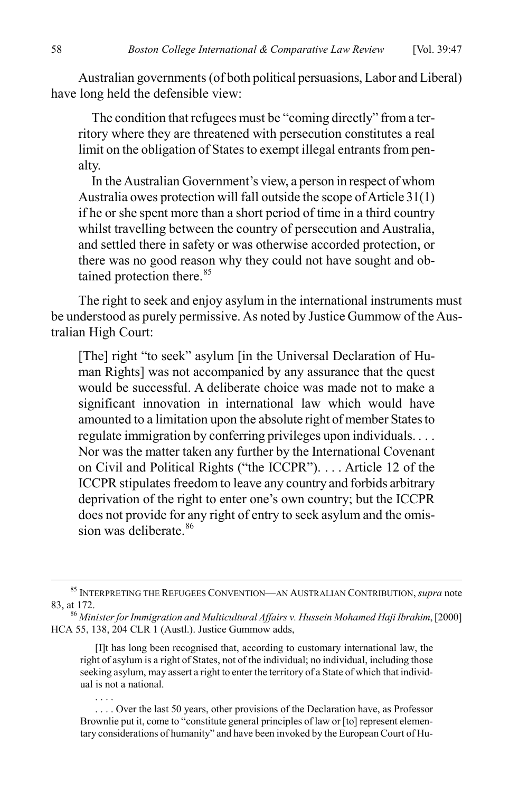Australian governments (of both political persuasions, Labor and Liberal) have long held the defensible view:

The condition that refugees must be "coming directly" from a territory where they are threatened with persecution constitutes a real limit on the obligation of States to exempt illegal entrants from penalty.

In the Australian Government's view, a person in respect of whom Australia owes protection will fall outside the scope of Article 31(1) if he or she spent more than a short period of time in a third country whilst travelling between the country of persecution and Australia, and settled there in safety or was otherwise accorded protection, or there was no good reason why they could not have sought and ob-tained protection there.<sup>[85](#page-12-0)</sup>

The right to seek and enjoy asylum in the international instruments must be understood as purely permissive. As noted by Justice Gummow of the Australian High Court:

[The] right "to seek" asylum [in the Universal Declaration of Human Rights] was not accompanied by any assurance that the quest would be successful. A deliberate choice was made not to make a significant innovation in international law which would have amounted to a limitation upon the absolute right of member States to regulate immigration by conferring privileges upon individuals. . . . Nor was the matter taken any further by the International Covenant on Civil and Political Rights ("the ICCPR"). . . . Article 12 of the ICCPR stipulates freedom to leave any country and forbids arbitrary deprivation of the right to enter one's own country; but the ICCPR does not provide for any right of entry to seek asylum and the omis-sion was deliberate.<sup>[86](#page-12-1)</sup>

 . . . . Over the last 50 years, other provisions of the Declaration have, as Professor Brownlie put it, come to "constitute general principles of law or [to] represent elementary considerations of humanity" and have been invoked by the European Court of Hu-

. . . .

<span id="page-12-0"></span> <sup>85</sup> INTERPRETING THE REFUGEES CONVENTION—AN AUSTRALIAN CONTRIBUTION, *supra* note [83,](#page-11-8) at 172.<br><sup>86</sup> *Minister for Immigration and Multicultural Affairs v. Hussein Mohamed Haji Ibrahim*, [2000]

<span id="page-12-1"></span>HCA 55, 138, 204 CLR 1 (Austl.). Justice Gummow adds,

<sup>[</sup>I]t has long been recognised that, according to customary international law, the right of asylum is a right of States, not of the individual; no individual, including those seeking asylum, may assert a right to enter the territory of a State of which that individual is not a national.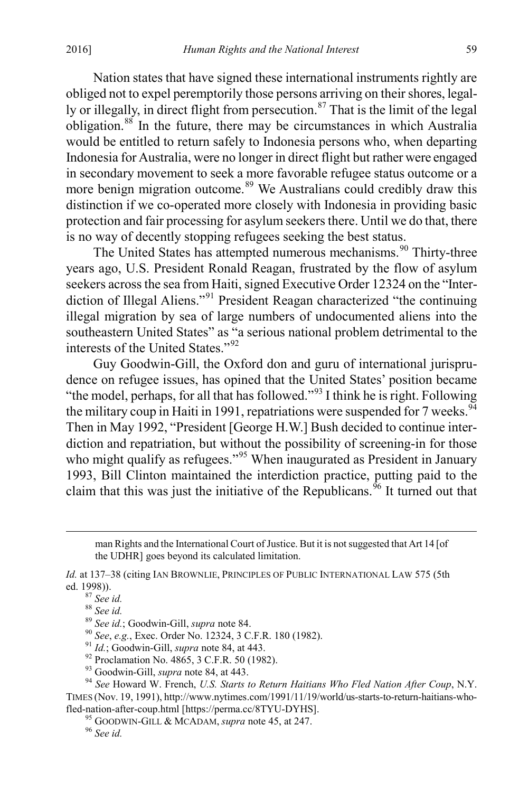<span id="page-13-0"></span>Nation states that have signed these international instruments rightly are obliged not to expel peremptorily those persons arriving on their shores, legal-ly or illegally, in direct flight from persecution.<sup>[87](#page-13-1)</sup> That is the limit of the legal obligation.[88](#page-13-2) In the future, there may be circumstances in which Australia would be entitled to return safely to Indonesia persons who, when departing Indonesia for Australia, were no longer in direct flight but rather were engaged in secondary movement to seek a more favorable refugee status outcome or a more benign migration outcome.<sup>[89](#page-13-3)</sup> We Australians could credibly draw this distinction if we co-operated more closely with Indonesia in providing basic protection and fair processing for asylum seekers there. Until we do that, there is no way of decently stopping refugees seeking the best status.

The United States has attempted numerous mechanisms.<sup>[90](#page-13-4)</sup> Thirty-three years ago, U.S. President Ronald Reagan, frustrated by the flow of asylum seekers across the sea from Haiti, signed Executive Order 12324 on the "Interdiction of Illegal Aliens."[91](#page-13-5) President Reagan characterized "the continuing illegal migration by sea of large numbers of undocumented aliens into the southeastern United States" as "a serious national problem detrimental to the interests of the United States."[92](#page-13-6)

Guy Goodwin-Gill, the Oxford don and guru of international jurisprudence on refugee issues, has opined that the United States' position became "the model, perhaps, for all that has followed."[93](#page-13-7) I think he is right. Following the military coup in Haiti in 1991, repatriations were suspended for 7 weeks.<sup>[94](#page-13-8)</sup> Then in May 1992, "President [George H.W.] Bush decided to continue interdiction and repatriation, but without the possibility of screening-in for those who might qualify as refugees."<sup>[95](#page-13-9)</sup> When inaugurated as President in January 1993, Bill Clinton maintained the interdiction practice, putting paid to the claim that this was just the initiative of the Republicans.<sup>[96](#page-13-10)</sup> It turned out that

- 
- 
- 
- 

<span id="page-13-8"></span><span id="page-13-7"></span><span id="page-13-6"></span><span id="page-13-5"></span><span id="page-13-4"></span>TIMES (Nov. 19, 1991), http://www.nytimes.com/1991/11/19/world/us-starts-to-return-haitians-who-

<span id="page-13-10"></span><span id="page-13-9"></span>fled-nation-after-coup.html [https://perma.cc/8TYU-DYHS]. 95 GOODWIN-GILL & MCADAM, *supra* not[e 45,](#page-6-7) at 247. <sup>96</sup> *See id.*

man Rights and the International Court of Justice. But it is not suggested that Art 14 [of the UDHR] goes beyond its calculated limitation.

<span id="page-13-3"></span><span id="page-13-2"></span><span id="page-13-1"></span>*Id.* at 137–38 (citing IAN BROWNLIE, PRINCIPLES OF PUBLIC INTERNATIONAL LAW 575 (5th ed. 1998)).<br>
<sup>87</sup> See id.<br>
<sup>88</sup> See id.<br>
<sup>89</sup> See id.; Goodwin-Gill, *supra* note 84.<br>
<sup>90</sup> See, e.g., Exec. Order No. 12324, 3 C.F.R. 180 (1982).<br>
<sup>91</sup> Id.; Goodwin-Gill, *supra* not[e 84,](#page-11-0) at 443.<br>
<sup>92</sup> Proclamation No. 4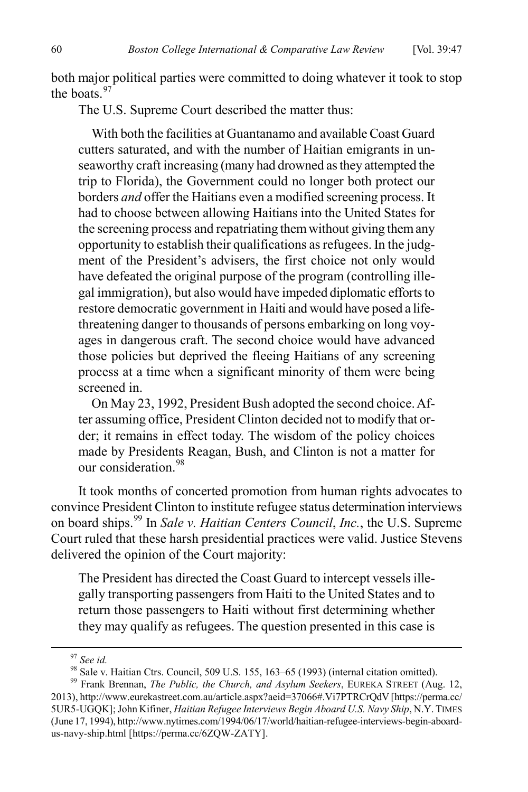both major political parties were committed to doing whatever it took to stop the boats  $97$ 

The U.S. Supreme Court described the matter thus:

With both the facilities at Guantanamo and available Coast Guard cutters saturated, and with the number of Haitian emigrants in unseaworthy craft increasing (many had drowned as they attempted the trip to Florida), the Government could no longer both protect our borders *and* offer the Haitians even a modified screening process. It had to choose between allowing Haitians into the United States for the screening process and repatriating them without giving them any opportunity to establish their qualifications as refugees. In the judgment of the President's advisers, the first choice not only would have defeated the original purpose of the program (controlling illegal immigration), but also would have impeded diplomatic efforts to restore democratic government in Haiti and would have posed a lifethreatening danger to thousands of persons embarking on long voyages in dangerous craft. The second choice would have advanced those policies but deprived the fleeing Haitians of any screening process at a time when a significant minority of them were being screened in.

On May 23, 1992, President Bush adopted the second choice. After assuming office, President Clinton decided not to modify that order; it remains in effect today. The wisdom of the policy choices made by Presidents Reagan, Bush, and Clinton is not a matter for our consideration<sup>[98](#page-14-1)</sup>

It took months of concerted promotion from human rights advocates to convince President Clinton to institute refugee status determination interviews on board ships.[99](#page-14-2) In *Sale v. Haitian Centers Council*, *Inc.*, the U.S. Supreme Court ruled that these harsh presidential practices were valid. Justice Stevens delivered the opinion of the Court majority:

The President has directed the Coast Guard to intercept vessels illegally transporting passengers from Haiti to the United States and to return those passengers to Haiti without first determining whether they may qualify as refugees. The question presented in this case is

<sup>97</sup> *See id.* <sup>98</sup> Sale v. Haitian Ctrs. Council, 509 U.S. 155, 163–65 (1993) (internal citation omitted). <sup>99</sup> Frank Brennan, *The Public, the Church, and Asylum Seekers*, EUREKA STREET (Aug. 12,

<span id="page-14-2"></span><span id="page-14-1"></span><span id="page-14-0"></span><sup>2013),</sup> http://www.eurekastreet.com.au/article.aspx?aeid=37066#.Vi7PTRCrQdV [https://perma.cc/ 5UR5-UGQK]; John Kifiner, *Haitian Refugee Interviews Begin Aboard U.S. Navy Ship*, N.Y. TIMES (June 17, 1994), http://www.nytimes.com/1994/06/17/world/haitian-refugee-interviews-begin-aboardus-navy-ship.html [https://perma.cc/6ZQW-ZATY].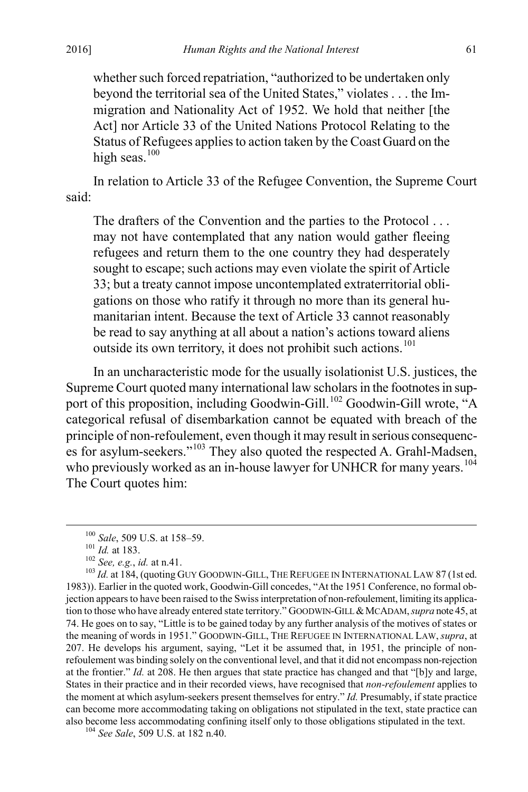whether such forced repatriation, "authorized to be undertaken only beyond the territorial sea of the United States," violates . . . the Immigration and Nationality Act of 1952. We hold that neither [the Act] nor Article 33 of the United Nations Protocol Relating to the Status of Refugees applies to action taken by the Coast Guard on the high seas. $100$ 

In relation to Article 33 of the Refugee Convention, the Supreme Court said:

The drafters of the Convention and the parties to the Protocol . . . may not have contemplated that any nation would gather fleeing refugees and return them to the one country they had desperately sought to escape; such actions may even violate the spirit of Article 33; but a treaty cannot impose uncontemplated extraterritorial obligations on those who ratify it through no more than its general humanitarian intent. Because the text of Article 33 cannot reasonably be read to say anything at all about a nation's actions toward aliens outside its own territory, it does not prohibit such actions.<sup>[101](#page-15-1)</sup>

In an uncharacteristic mode for the usually isolationist U.S. justices, the Supreme Court quoted many international law scholars in the footnotes in sup-port of this proposition, including Goodwin-Gill.<sup>[102](#page-15-2)</sup> Goodwin-Gill wrote, "A categorical refusal of disembarkation cannot be equated with breach of the principle of non-refoulement, even though it may result in serious consequences for asylum-seekers."[103](#page-15-3) They also quoted the respected A. Grahl-Madsen, who previously worked as an in-house lawyer for UNHCR for many years.<sup>[104](#page-15-4)</sup> The Court quotes him:

<span id="page-15-3"></span><span id="page-15-2"></span><span id="page-15-1"></span><span id="page-15-0"></span><sup>&</sup>lt;sup>100</sup> *Sale*, 509 U.S. at 158–59.<br><sup>101</sup> *Id.* at 183.<br><sup>102</sup> *See, e.g., id.* at n.41.<br><sup>103</sup> *Id.* at 184, (quoting GUY GOODWIN-GILL, THE REFUGEE IN INTERNATIONAL LAW 87 (1st ed. 1983)). Earlier in the quoted work, Goodwin-Gill concedes, "At the 1951 Conference, no formal objection appears to have been raised to the Swiss interpretation of non-refoulement, limiting its application to those who have already entered state territory." GOODWIN-GILL & MCADAM, *supra* not[e 45,](#page-6-7) at 74. He goes on to say, "Little is to be gained today by any further analysis of the motives of states or the meaning of words in 1951." GOODWIN-GILL, THE REFUGEE IN INTERNATIONAL LAW, *supra*, at 207. He develops his argument, saying, "Let it be assumed that, in 1951, the principle of nonrefoulement was binding solely on the conventional level, and that it did not encompass non-rejection at the frontier." *Id.* at 208. He then argues that state practice has changed and that "[b]y and large, States in their practice and in their recorded views, have recognised that *non-refoulement* applies to the moment at which asylum-seekers present themselves for entry." *Id.* Presumably, if state practice can become more accommodating taking on obligations not stipulated in the text, state practice can also become less accommodating confining itself only to those obligations stipulated in the text. <sup>104</sup> *See Sale*, 509 U.S. at 182 n.40.

<span id="page-15-4"></span>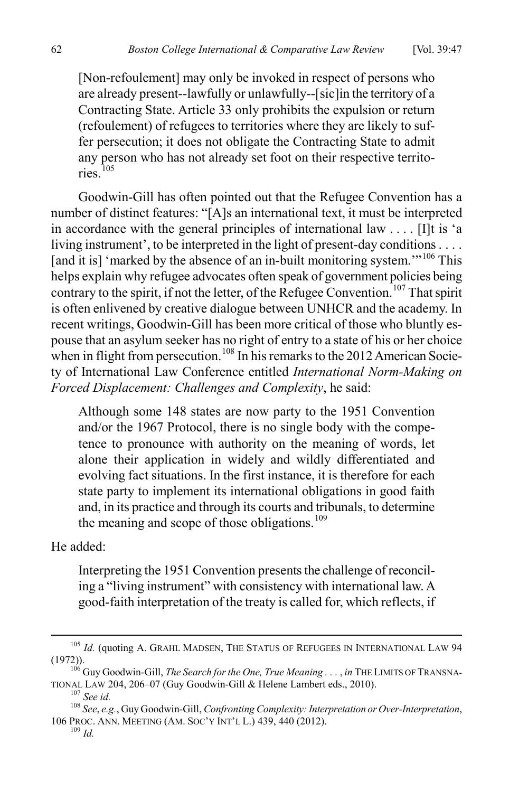[Non-refoulement] may only be invoked in respect of persons who are already present--lawfully or unlawfully--[sic]in the territory of a Contracting State. Article 33 only prohibits the expulsion or return (refoulement) of refugees to territories where they are likely to suffer persecution; it does not obligate the Contracting State to admit any person who has not already set foot on their respective territories. [105](#page-16-0)

Goodwin-Gill has often pointed out that the Refugee Convention has a number of distinct features: "[A]s an international text, it must be interpreted in accordance with the general principles of international law  $\dots$ . [I]t is 'a living instrument', to be interpreted in the light of present-day conditions . . . . [and it is] 'marked by the absence of an in-built monitoring system.'"<sup>[106](#page-16-1)</sup> This helps explain why refugee advocates often speak of government policies being contrary to the spirit, if not the letter, of the Refugee Convention.<sup>[107](#page-16-2)</sup> That spirit is often enlivened by creative dialogue between UNHCR and the academy. In recent writings, Goodwin-Gill has been more critical of those who bluntly espouse that an asylum seeker has no right of entry to a state of his or her choice when in flight from persecution.<sup>[108](#page-16-3)</sup> In his remarks to the 2012 American Society of International Law Conference entitled *International Norm-Making on Forced Displacement: Challenges and Complexity*, he said:

Although some 148 states are now party to the 1951 Convention and/or the 1967 Protocol, there is no single body with the competence to pronounce with authority on the meaning of words, let alone their application in widely and wildly differentiated and evolving fact situations. In the first instance, it is therefore for each state party to implement its international obligations in good faith and, in its practice and through its courts and tribunals, to determine the meaning and scope of those obligations.<sup>[109](#page-16-4)</sup>

He added:

Interpreting the 1951 Convention presents the challenge of reconciling a "living instrument" with consistency with international law. A good-faith interpretation of the treaty is called for, which reflects, if

<span id="page-16-0"></span> $^{105}$   $Id.$  (quoting A. GRAHL MADSEN, THE STATUS OF REFUGEES IN INTERNATIONAL LAW  $94$   $(1972{\rm\textit{1}})$ .

<span id="page-16-1"></span><sup>&</sup>lt;sup>106</sup> Guy Goodwin-Gill, *The Search for the One, True Meaning . . . , in* THE LIMITS OF TRANSNA-TIONAL LAW 204, 206–07 (Guy Goodwin-Gill & Helene Lambert eds., 2010).

<span id="page-16-4"></span><span id="page-16-3"></span><span id="page-16-2"></span><sup>&</sup>lt;sup>107</sup> See id.<br><sup>108</sup> See, e.g., Guy Goodwin-Gill, *Confronting Complexity: Interpretation or Over-Interpretation*, 106 PROC. ANN. MEETING (AM. SOC'Y INT'L L.) 439, 440 (2012). <sup>109</sup> *Id.*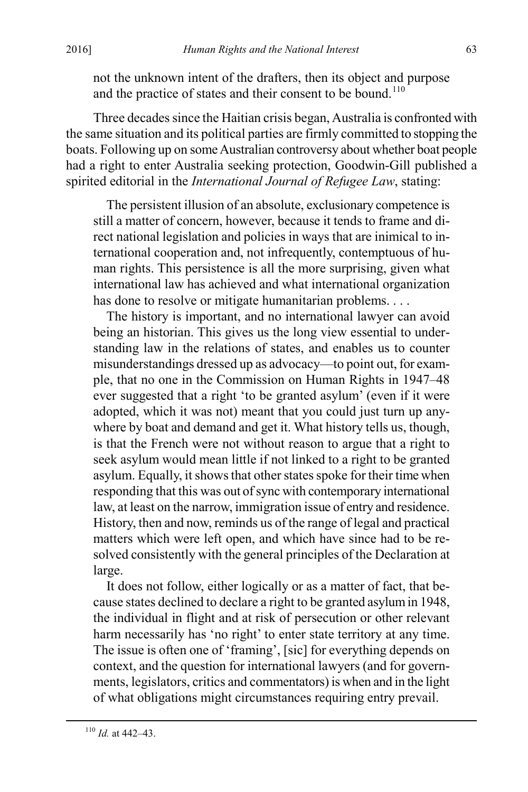not the unknown intent of the drafters, then its object and purpose and the practice of states and their consent to be bound.<sup>[110](#page-17-0)</sup>

Three decades since the Haitian crisis began, Australia is confronted with the same situation and its political parties are firmly committed to stopping the boats. Following up on some Australian controversy about whether boat people had a right to enter Australia seeking protection, Goodwin-Gill published a spirited editorial in the *International Journal of Refugee Law*, stating:

The persistent illusion of an absolute, exclusionary competence is still a matter of concern, however, because it tends to frame and direct national legislation and policies in ways that are inimical to international cooperation and, not infrequently, contemptuous of human rights. This persistence is all the more surprising, given what international law has achieved and what international organization has done to resolve or mitigate humanitarian problems. . . .

The history is important, and no international lawyer can avoid being an historian. This gives us the long view essential to understanding law in the relations of states, and enables us to counter misunderstandings dressed up as advocacy—to point out, for example, that no one in the Commission on Human Rights in 1947–48 ever suggested that a right 'to be granted asylum' (even if it were adopted, which it was not) meant that you could just turn up anywhere by boat and demand and get it. What history tells us, though, is that the French were not without reason to argue that a right to seek asylum would mean little if not linked to a right to be granted asylum. Equally, it shows that other states spoke for their time when responding that this was out of sync with contemporary international law, at least on the narrow, immigration issue of entry and residence. History, then and now, reminds us of the range of legal and practical matters which were left open, and which have since had to be resolved consistently with the general principles of the Declaration at large.

It does not follow, either logically or as a matter of fact, that because states declined to declare a right to be granted asylum in 1948, the individual in flight and at risk of persecution or other relevant harm necessarily has 'no right' to enter state territory at any time. The issue is often one of 'framing', [sic] for everything depends on context, and the question for international lawyers (and for governments, legislators, critics and commentators) is when and in the light of what obligations might circumstances requiring entry prevail.

<span id="page-17-0"></span> <sup>110</sup> *Id.* at 442–43.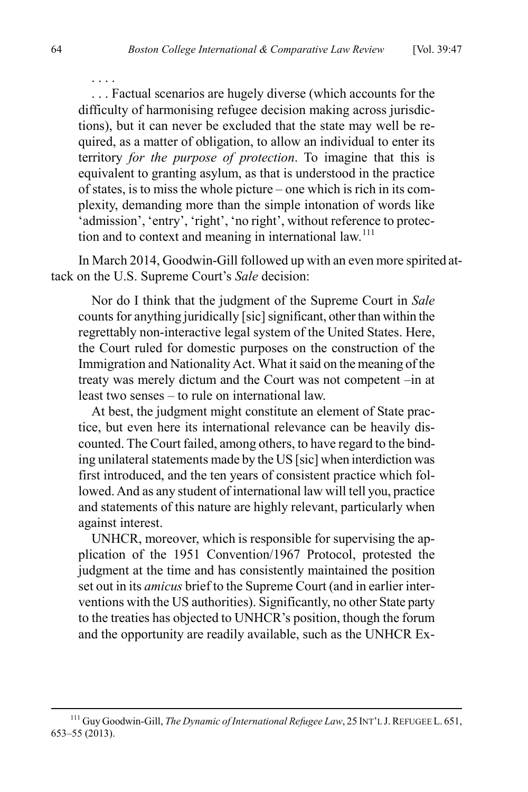. . . . . . . Factual scenarios are hugely diverse (which accounts for the difficulty of harmonising refugee decision making across jurisdictions), but it can never be excluded that the state may well be required, as a matter of obligation, to allow an individual to enter its territory *for the purpose of protection*. To imagine that this is equivalent to granting asylum, as that is understood in the practice of states, is to miss the whole picture – one which is rich in its complexity, demanding more than the simple intonation of words like 'admission', 'entry', 'right', 'no right', without reference to protec-tion and to context and meaning in international law.<sup>[111](#page-18-0)</sup>

In March 2014, Goodwin-Gill followed up with an even more spirited attack on the U.S. Supreme Court's *Sale* decision:

<span id="page-18-1"></span>Nor do I think that the judgment of the Supreme Court in *Sale* counts for anything juridically [sic] significant, other than within the regrettably non-interactive legal system of the United States. Here, the Court ruled for domestic purposes on the construction of the Immigration and Nationality Act. What it said on the meaning of the treaty was merely dictum and the Court was not competent –in at least two senses – to rule on international law.

At best, the judgment might constitute an element of State practice, but even here its international relevance can be heavily discounted. The Court failed, among others, to have regard to the binding unilateral statements made by the US [sic] when interdiction was first introduced, and the ten years of consistent practice which followed. And as any student of international law will tell you, practice and statements of this nature are highly relevant, particularly when against interest.

UNHCR, moreover, which is responsible for supervising the application of the 1951 Convention/1967 Protocol, protested the judgment at the time and has consistently maintained the position set out in its *amicus* brief to the Supreme Court (and in earlier interventions with the US authorities). Significantly, no other State party to the treaties has objected to UNHCR's position, though the forum and the opportunity are readily available, such as the UNHCR Ex-

<span id="page-18-0"></span><sup>&</sup>lt;sup>111</sup> Guy Goodwin-Gill, *The Dynamic of International Refugee Law*, 25 INT'L J. REFUGEE L. 651, 653–55 (2013).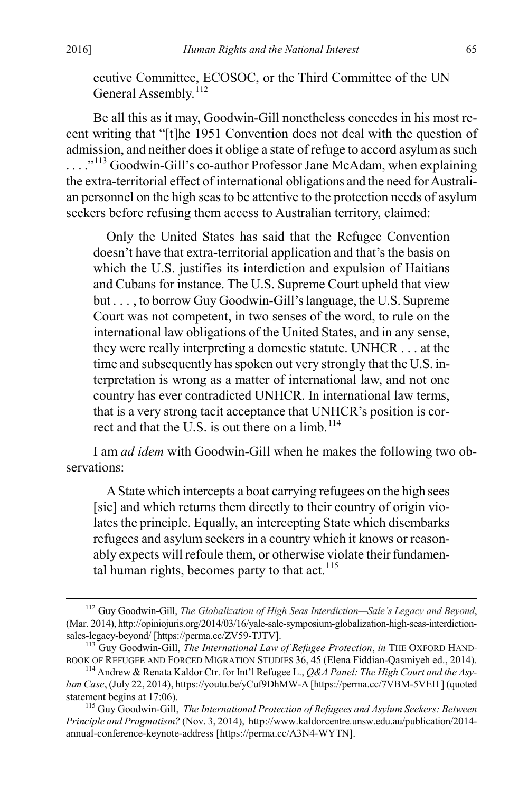ecutive Committee, ECOSOC, or the Third Committee of the UN General Assembly.<sup>[112](#page-19-0)</sup>

Be all this as it may, Goodwin-Gill nonetheless concedes in his most recent writing that "[t]he 1951 Convention does not deal with the question of admission, and neither does it oblige a state of refuge to accord asylum as such  $\ldots$ <sup>"113</sup> Goodwin-Gill's co-author Professor Jane McAdam, when explaining the extra-territorial effect of international obligations and the need for Australian personnel on the high seas to be attentive to the protection needs of asylum seekers before refusing them access to Australian territory, claimed:

Only the United States has said that the Refugee Convention doesn't have that extra-territorial application and that's the basis on which the U.S. justifies its interdiction and expulsion of Haitians and Cubans for instance. The U.S. Supreme Court upheld that view but . . . , to borrow Guy Goodwin-Gill's language, the U.S. Supreme Court was not competent, in two senses of the word, to rule on the international law obligations of the United States, and in any sense, they were really interpreting a domestic statute. UNHCR . . . at the time and subsequently has spoken out very strongly that the U.S. interpretation is wrong as a matter of international law, and not one country has ever contradicted UNHCR. In international law terms, that is a very strong tacit acceptance that UNHCR's position is cor-rect and that the U.S. is out there on a limb.<sup>[114](#page-19-2)</sup>

I am *ad idem* with Goodwin-Gill when he makes the following two observations:

<span id="page-19-5"></span><span id="page-19-4"></span>A State which intercepts a boat carrying refugees on the high sees [sic] and which returns them directly to their country of origin violates the principle. Equally, an intercepting State which disembarks refugees and asylum seekers in a country which it knows or reasonably expects will refoule them, or otherwise violate their fundamental human rights, becomes party to that  $act.$ <sup>[115](#page-19-3)</sup>

<span id="page-19-0"></span> <sup>112</sup> Guy Goodwin-Gill, *The Globalization of High Seas Interdiction—Sale's Legacy and Beyond*, (Mar. 2014), http://opiniojuris.org/2014/03/16/yale-sale-symposium-globalization-high-seas-interdiction-

<span id="page-19-1"></span><sup>&</sup>lt;sup>113</sup> Guy Goodwin-Gill, *The International Law of Refugee Protection*, *in* THE OXFORD HAND-BOOK OF REFUGEE AND FORCED MIGRATION STUDIES 36, 45 (Elena Fiddian-Qasmiyeh ed., 2014).

<span id="page-19-2"></span><sup>&</sup>lt;sup>114</sup> Andrew & Renata Kaldor Ctr. for Int'l Refugee L., *Q&A Panel: The High Court and the Asylum Case*, (July 22, 2014), https://youtu.be/yCuf9DhMW-A [https://perma.cc/7VBM-5VEH] (quoted statement begins at 17:06).

<span id="page-19-3"></span><sup>&</sup>lt;sup>115</sup> Guy Goodwin-Gill, *The International Protection of Refugees and Asylum Seekers: Between Principle and Pragmatism?* (Nov. 3, 2014), http://www.kaldorcentre.unsw.edu.au/publication/2014 annual-conference-keynote-address [https://perma.cc/A3N4-WYTN].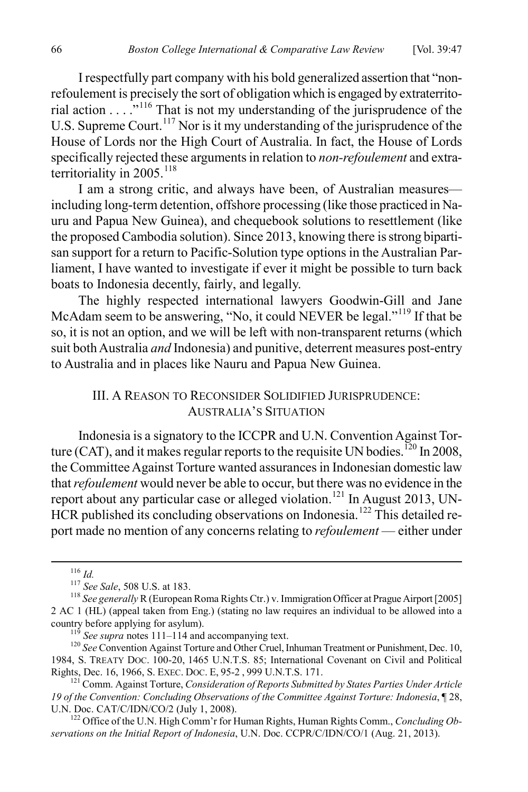I respectfully part company with his bold generalized assertion that "nonrefoulement is precisely the sort of obligation which is engaged by extraterritorial action  $\dots$  . . .<sup>[116](#page-20-0)</sup> That is not my understanding of the jurisprudence of the U.S. Supreme Court.<sup>[117](#page-20-1)</sup> Nor is it my understanding of the jurisprudence of the House of Lords nor the High Court of Australia. In fact, the House of Lords specifically rejected these arguments in relation to *non-refoulement* and extra-territoriality in 2005.<sup>[118](#page-20-2)</sup>

I am a strong critic, and always have been, of Australian measures including long-term detention, offshore processing (like those practiced in Nauru and Papua New Guinea), and chequebook solutions to resettlement (like the proposed Cambodia solution). Since 2013, knowing there is strong bipartisan support for a return to Pacific-Solution type options in the Australian Parliament, I have wanted to investigate if ever it might be possible to turn back boats to Indonesia decently, fairly, and legally.

The highly respected international lawyers Goodwin-Gill and Jane McAdam seem to be answering, "No, it could NEVER be legal."[119](#page-20-3) If that be so, it is not an option, and we will be left with non-transparent returns (which suit both Australia *and* Indonesia) and punitive, deterrent measures post-entry to Australia and in places like Nauru and Papua New Guinea.

### III. A REASON TO RECONSIDER SOLIDIFIED JURISPRUDENCE: AUSTRALIA'S SITUATION

Indonesia is a signatory to the ICCPR and U.N. Convention Against Tor-ture (CAT), and it makes regular reports to the requisite UN bodies.<sup>[120](#page-20-4)</sup> In 2008, the Committee Against Torture wanted assurances in Indonesian domestic law that *refoulement* would never be able to occur, but there was no evidence in the report about any particular case or alleged violation.<sup>[121](#page-20-5)</sup> In August 2013, UN-HCR published its concluding observations on Indonesia.<sup>[122](#page-20-6)</sup> This detailed report made no mention of any concerns relating to *refoulement* — either under

<span id="page-20-2"></span><span id="page-20-1"></span><span id="page-20-0"></span><sup>&</sup>lt;sup>116</sup> *Id.*<br><sup>117</sup> *See Sale*, 508 U.S. at 183.<br><sup>118</sup> *See generally* R (European Roma Rights Ctr.) v. Immigration Officer at Prague Airport [2005] 2 AC 1 (HL) (appeal taken from Eng.) (stating no law requires an individual to be allowed into a country before applying for asylum).<br><sup>119</sup> *See supra* note[s 111](#page-18-1)[–114](#page-19-4) and accompanying text.<br><sup>120</sup> *See* Convention Against Torture and Other Cruel, Inhuman Treatment or Punishment, Dec. 10,

<span id="page-20-4"></span><span id="page-20-3"></span><sup>1984,</sup> S. TREATY DOC. 100-20, 1465 U.N.T.S. 85; International Covenant on Civil and Political

<span id="page-20-5"></span><sup>&</sup>lt;sup>121</sup> Comm. Against Torture, Consideration of Reports Submitted by States Parties Under Article *19 of the Convention: Concluding Observations of the Committee Against Torture: Indonesia*,  $[28,$  U.N. Doc. CAT/C/IDN/CO/2 (July 1, 2008).

<span id="page-20-6"></span><sup>&</sup>lt;sup>122</sup> Office of the U.N. High Comm'r for Human Rights, Human Rights Comm., *Concluding Observations on the Initial Report of Indonesia*, U.N. Doc. CCPR/C/IDN/CO/1 (Aug. 21, 2013).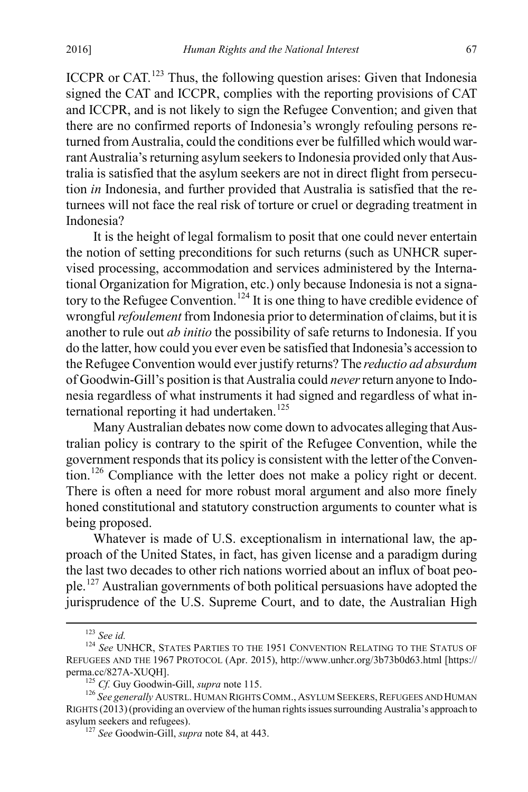ICCPR or CAT.<sup>[123](#page-21-0)</sup> Thus, the following question arises: Given that Indonesia signed the CAT and ICCPR, complies with the reporting provisions of CAT and ICCPR, and is not likely to sign the Refugee Convention; and given that there are no confirmed reports of Indonesia's wrongly refouling persons returned from Australia, could the conditions ever be fulfilled which would warrant Australia's returning asylum seekers to Indonesia provided only that Australia is satisfied that the asylum seekers are not in direct flight from persecution *in* Indonesia, and further provided that Australia is satisfied that the returnees will not face the real risk of torture or cruel or degrading treatment in Indonesia?

It is the height of legal formalism to posit that one could never entertain the notion of setting preconditions for such returns (such as UNHCR supervised processing, accommodation and services administered by the International Organization for Migration, etc.) only because Indonesia is not a signa-tory to the Refugee Convention.<sup>[124](#page-21-1)</sup> It is one thing to have credible evidence of wrongful *refoulement* from Indonesia prior to determination of claims, but it is another to rule out *ab initio* the possibility of safe returns to Indonesia. If you do the latter, how could you ever even be satisfied that Indonesia's accession to the Refugee Convention would ever justify returns? The *reductio ad absurdum* of Goodwin-Gill's position is that Australia could *never*return anyone to Indonesia regardless of what instruments it had signed and regardless of what in-ternational reporting it had undertaken.<sup>[125](#page-21-2)</sup>

Many Australian debates now come down to advocates alleging that Australian policy is contrary to the spirit of the Refugee Convention, while the government responds that its policy is consistent with the letter of the Convention.[126](#page-21-3) Compliance with the letter does not make a policy right or decent. There is often a need for more robust moral argument and also more finely honed constitutional and statutory construction arguments to counter what is being proposed.

Whatever is made of U.S. exceptionalism in international law, the approach of the United States, in fact, has given license and a paradigm during the last two decades to other rich nations worried about an influx of boat people.[127](#page-21-4) Australian governments of both political persuasions have adopted the jurisprudence of the U.S. Supreme Court, and to date, the Australian High

<span id="page-21-1"></span><span id="page-21-0"></span><sup>&</sup>lt;sup>123</sup> See id.<br><sup>124</sup> See UNHCR, STATES PARTIES TO THE 1951 CONVENTION RELATING TO THE STATUS OF REFUGEES AND THE 1967 PROTOCOL (Apr. 2015), http://www.unhcr.org/3b73b0d63.html [https://

<span id="page-21-4"></span><span id="page-21-3"></span><span id="page-21-2"></span><sup>&</sup>lt;sup>125</sup> *Cf.* Guy Goodwin-Gill, *supra* not[e 115.](#page-19-5) 126 *See generally* AUSTRL. HUMAN RIGHTS COMM., ASYLUM SEEKERS, REFUGEES AND HUMAN RIGHTS (2013)(providing an overview of the human rights issues surrounding Australia's approach to asylum seekers and refugees). <sup>127</sup> *See* Goodwin-Gill, *supra* not[e 84,](#page-11-0) at 443.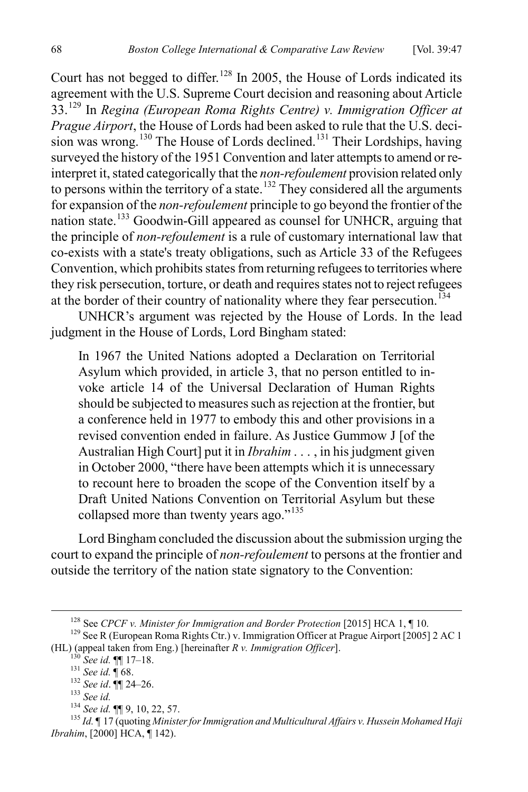Court has not begged to differ.<sup>[128](#page-22-0)</sup> In 2005, the House of Lords indicated its agreement with the U.S. Supreme Court decision and reasoning about Article 33.[129](#page-22-1) In *Regina (European Roma Rights Centre) v. Immigration Officer at Prague Airport*, the House of Lords had been asked to rule that the U.S. deci-sion was wrong.<sup>[130](#page-22-2)</sup> The House of Lords declined.<sup>[131](#page-22-3)</sup> Their Lordships, having surveyed the history of the 1951 Convention and later attempts to amend or reinterpret it, stated categorically that the *non-refoulement* provision related only to persons within the territory of a state.<sup>[132](#page-22-4)</sup> They considered all the arguments for expansion of the *non-refoulement* principle to go beyond the frontier of the nation state.[133](#page-22-5) Goodwin-Gill appeared as counsel for UNHCR, arguing that the principle of *non-refoulement* is a rule of customary international law that co-exists with a state's treaty obligations, such as Article 33 of the Refugees Convention, which prohibits states from returning refugees to territories where they risk persecution, torture, or death and requires states not to reject refugees at the border of their country of nationality where they fear persecution.<sup>[134](#page-22-6)</sup>

UNHCR's argument was rejected by the House of Lords. In the lead judgment in the House of Lords, Lord Bingham stated:

In 1967 the United Nations adopted a Declaration on Territorial Asylum which provided, in article 3, that no person entitled to invoke article 14 of the Universal Declaration of Human Rights should be subjected to measures such as rejection at the frontier, but a conference held in 1977 to embody this and other provisions in a revised convention ended in failure. As Justice Gummow J [of the Australian High Court] put it in *Ibrahim* . . . , in his judgment given in October 2000, "there have been attempts which it is unnecessary to recount here to broaden the scope of the Convention itself by a Draft United Nations Convention on Territorial Asylum but these collapsed more than twenty years ago."<sup>[135](#page-22-7)</sup>

Lord Bingham concluded the discussion about the submission urging the court to expand the principle of *non-refoulement* to persons at the frontier and outside the territory of the nation state signatory to the Convention:

<span id="page-22-1"></span><span id="page-22-0"></span><sup>&</sup>lt;sup>128</sup> See *CPCF v. Minister for Immigration and Border Protection* [2015] HCA 1,  $\P$  10.<br><sup>129</sup> See R (European Roma Rights Ctr.) *v.* Immigration Officer at Prague Airport [2005] 2 AC 1<br>(HL) (appeal taken from Eng.) [here

<span id="page-22-7"></span><span id="page-22-6"></span>

<span id="page-22-5"></span><span id="page-22-4"></span><span id="page-22-3"></span><span id="page-22-2"></span><sup>&</sup>lt;sup>130</sup> See id.  $\blacksquare \blacksquare$  17–18.<br>
<sup>131</sup> See id.  $\blacksquare \blacksquare$  68.<br>
<sup>132</sup> See id.  $\blacksquare \blacksquare$  24–26.<br>
<sup>133</sup> See id.  $\blacksquare \blacksquare$  9, 10, 22, 57.<br>
<sup>135</sup> Id.  $\blacksquare$  17 (quoting *Minister for Immigration and Multicultural Affairs v. Ibrahim*, [2000] HCA, ¶ 142).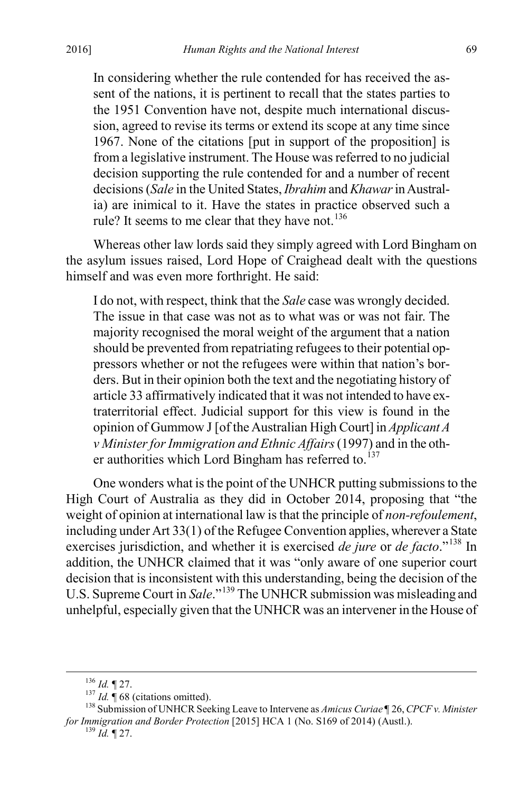In considering whether the rule contended for has received the assent of the nations, it is pertinent to recall that the states parties to the 1951 Convention have not, despite much international discussion, agreed to revise its terms or extend its scope at any time since 1967. None of the citations [put in support of the proposition] is from a legislative instrument. The House was referred to no judicial decision supporting the rule contended for and a number of recent decisions (*Sale* in the United States, *Ibrahim* and *Khawar*in Australia) are inimical to it. Have the states in practice observed such a rule? It seems to me clear that they have not.<sup>[136](#page-23-0)</sup>

Whereas other law lords said they simply agreed with Lord Bingham on the asylum issues raised, Lord Hope of Craighead dealt with the questions himself and was even more forthright. He said:

I do not, with respect, think that the *Sale* case was wrongly decided. The issue in that case was not as to what was or was not fair. The majority recognised the moral weight of the argument that a nation should be prevented from repatriating refugees to their potential oppressors whether or not the refugees were within that nation's borders. But in their opinion both the text and the negotiating history of article 33 affirmatively indicated that it was not intended to have extraterritorial effect. Judicial support for this view is found in the opinion of Gummow J [of the Australian High Court] in *Applicant A v Minister for Immigration and Ethnic Affairs* (1997) and in the oth-er authorities which Lord Bingham has referred to.<sup>[137](#page-23-1)</sup>

One wonders what is the point of the UNHCR putting submissions to the High Court of Australia as they did in October 2014, proposing that "the weight of opinion at international law is that the principle of *non-refoulement*, including under Art 33(1) of the Refugee Convention applies, wherever a State exercises jurisdiction, and whether it is exercised *de jure* or *de facto*."[138](#page-23-2) In addition, the UNHCR claimed that it was "only aware of one superior court decision that is inconsistent with this understanding, being the decision of the U.S. Supreme Court in *Sale*."[139](#page-23-3) The UNHCR submission was misleading and unhelpful, especially given that the UNHCR was an intervener in the House of

<span id="page-23-3"></span><span id="page-23-2"></span><span id="page-23-1"></span><span id="page-23-0"></span><sup>&</sup>lt;sup>136</sup> *Id.* ¶ 27.<br><sup>137</sup> *Id.* ¶ 68 (citations omitted).<br><sup>138</sup> Submission of UNHCR Seeking Leave to Intervene as *Amicus Curiae* ¶ 26, *CPCFv. Minister for Immigration and Border Protection* [2015] HCA 1 (No. S169 of 2014) (Austl.). <sup>139</sup> *Id.* ¶ 27.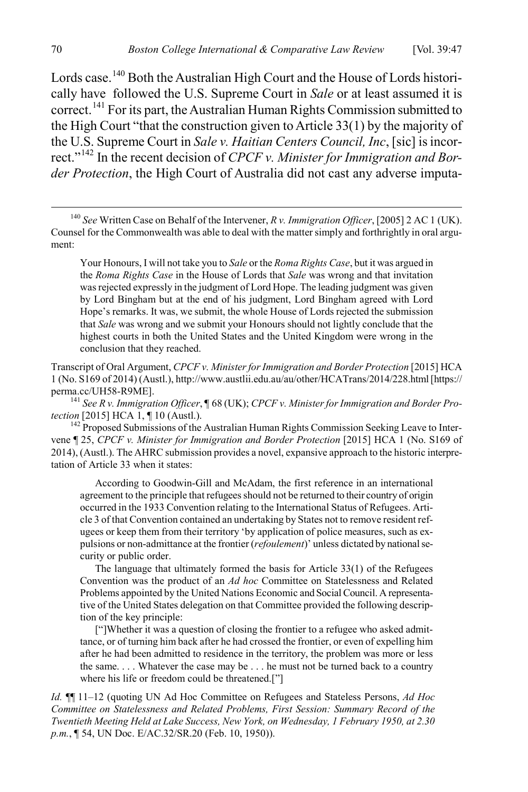Lords case.<sup>[140](#page-24-0)</sup> Both the Australian High Court and the House of Lords historically have followed the U.S. Supreme Court in *Sale* or at least assumed it is correct.<sup>[141](#page-24-1)</sup> For its part, the Australian Human Rights Commission submitted to the High Court "that the construction given to Article 33(1) by the majority of the U.S. Supreme Court in *Sale v. Haitian Centers Council, Inc*, [sic] is incorrect."[142](#page-24-2) In the recent decision of *CPCF v. Minister for Immigration and Border Protection*, the High Court of Australia did not cast any adverse imputa-

Your Honours, I will not take you to *Sale* or the *Roma Rights Case*, but it was argued in the *Roma Rights Case* in the House of Lords that *Sale* was wrong and that invitation was rejected expressly in the judgment of Lord Hope. The leading judgment was given by Lord Bingham but at the end of his judgment, Lord Bingham agreed with Lord Hope's remarks. It was, we submit, the whole House of Lords rejected the submission that *Sale* was wrong and we submit your Honours should not lightly conclude that the highest courts in both the United States and the United Kingdom were wrong in the conclusion that they reached.

Transcript of Oral Argument, *CPCF v. Minister for Immigration and Border Protection* [2015] HCA 1 (No. S169 of 2014) (Austl.), http://www.austlii.edu.au/au/other/HCATrans/2014/228.html [https://

<span id="page-24-1"></span>perma.cc/UH58-R9ME].<br><sup>141</sup> *See R v. Immigration Officer*, ¶ 68 (UK); *CPCF v. Minister for Immigration and Border Protection* [2015] HCA 1, ¶ 10 (Austl.).

<span id="page-24-2"></span><sup>142</sup> Proposed Submissions of the Australian Human Rights Commission Seeking Leave to Intervene ¶ 25, *CPCF v. Minister for Immigration and Border Protection* [2015] HCA 1 (No. S169 of 2014), (Austl.). The AHRC submission provides a novel, expansive approach to the historic interpretation of Article 33 when it states:

According to Goodwin-Gill and McAdam, the first reference in an international agreement to the principle that refugees should not be returned to their country of origin occurred in the 1933 Convention relating to the International Status of Refugees. Article 3 of that Convention contained an undertaking by States not to remove resident refugees or keep them from their territory 'by application of police measures, such as expulsions or non-admittance at the frontier (*refoulement*)' unless dictated by national security or public order.

The language that ultimately formed the basis for Article 33(1) of the Refugees Convention was the product of an *Ad hoc* Committee on Statelessness and Related Problems appointed by the United Nations Economic and Social Council. A representative of the United States delegation on that Committee provided the following description of the key principle:

["]Whether it was a question of closing the frontier to a refugee who asked admittance, or of turning him back after he had crossed the frontier, or even of expelling him after he had been admitted to residence in the territory, the problem was more or less the same. . . . Whatever the case may be . . . he must not be turned back to a country where his life or freedom could be threatened.["]

*Id.* ¶¶ 11–12 (quoting UN Ad Hoc Committee on Refugees and Stateless Persons, *Ad Hoc Committee on Statelessness and Related Problems, First Session: Summary Record of the Twentieth Meeting Held at Lake Success, New York, on Wednesday, 1 February 1950, at 2.30 p.m.*, ¶ 54, UN Doc. E/AC.32/SR.20 (Feb. 10, 1950)).

<span id="page-24-0"></span> <sup>140</sup> *See* Written Case on Behalf of the Intervener, *R v. Immigration Officer*, [2005] 2 AC 1 (UK). Counsel for the Commonwealth was able to deal with the matter simply and forthrightly in oral argument: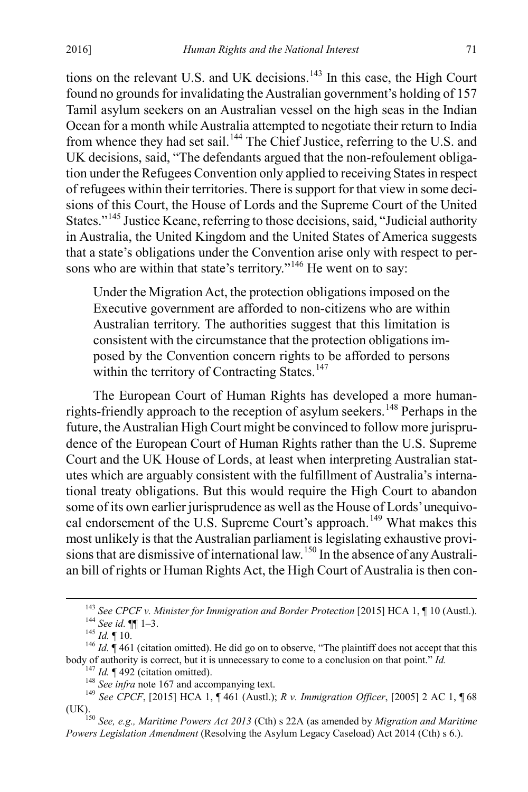<span id="page-25-8"></span>tions on the relevant U.S. and UK decisions.<sup>[143](#page-25-0)</sup> In this case, the High Court found no grounds for invalidating the Australian government's holding of 157 Tamil asylum seekers on an Australian vessel on the high seas in the Indian Ocean for a month while Australia attempted to negotiate their return to India from whence they had set sail.<sup>[144](#page-25-1)</sup> The Chief Justice, referring to the U.S. and UK decisions, said, "The defendants argued that the non-refoulement obligation under the Refugees Convention only applied to receiving States in respect of refugees within their territories. There is support for that view in some decisions of this Court, the House of Lords and the Supreme Court of the United States."[145](#page-25-2) Justice Keane, referring to those decisions, said, "Judicial authority in Australia, the United Kingdom and the United States of America suggests that a state's obligations under the Convention arise only with respect to per-sons who are within that state's territory."<sup>[146](#page-25-3)</sup> He went on to say:

<span id="page-25-9"></span>Under the Migration Act, the protection obligations imposed on the Executive government are afforded to non-citizens who are within Australian territory. The authorities suggest that this limitation is consistent with the circumstance that the protection obligations imposed by the Convention concern rights to be afforded to persons within the territory of Contracting States. $147$ 

The European Court of Human Rights has developed a more human-rights-friendly approach to the reception of asylum seekers.<sup>[148](#page-25-5)</sup> Perhaps in the future, the Australian High Court might be convinced to follow more jurisprudence of the European Court of Human Rights rather than the U.S. Supreme Court and the UK House of Lords, at least when interpreting Australian statutes which are arguably consistent with the fulfillment of Australia's international treaty obligations. But this would require the High Court to abandon some of its own earlier jurisprudence as well as the House of Lords' unequivo-cal endorsement of the U.S. Supreme Court's approach.<sup>[149](#page-25-6)</sup> What makes this most unlikely is that the Australian parliament is legislating exhaustive provi-sions that are dismissive of international law.<sup>[150](#page-25-7)</sup> In the absence of any Australian bill of rights or Human Rights Act, the High Court of Australia is then con-

<span id="page-25-2"></span><span id="page-25-1"></span><span id="page-25-0"></span><sup>&</sup>lt;sup>143</sup> See CPCF v. Minister for Immigration and Border Protection [2015] HCA 1,  $\P$  10 (Austl.).<br><sup>144</sup> See id.  $\P$  1–3.<br><sup>145</sup> Id.  $\P$  10.<br><sup>146</sup> Id.  $\P$  461 (citation omitted). He did go on to observe, "The plaintiff does n

<span id="page-25-5"></span><span id="page-25-4"></span><span id="page-25-3"></span><sup>&</sup>lt;sup>147</sup> *Id.*  $\P$  492 (citation omitted).<br><sup>148</sup> *See infra* not[e 167](#page-28-0) and accompanying text.<br><sup>149</sup> *See CPCF*, [2015] HCA 1,  $\P$  461 (Austl.); *R v. Immigration Officer*, [2005] 2 AC 1,  $\P$  68

<span id="page-25-7"></span><span id="page-25-6"></span><sup>(</sup>UK).150 *See, e.g., Maritime Powers Act 2013* (Cth) s 22A (as amended by *Migration and Maritime Powers Legislation Amendment* (Resolving the Asylum Legacy Caseload) Act 2014 (Cth) s 6.).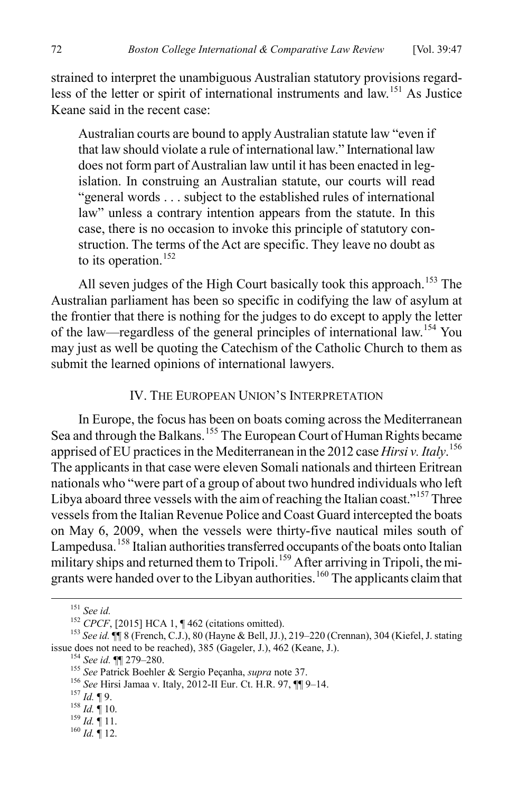strained to interpret the unambiguous Australian statutory provisions regardless of the letter or spirit of international instruments and law.[151](#page-26-0) As Justice Keane said in the recent case:

Australian courts are bound to apply Australian statute law "even if that law should violate a rule of international law." International law does not form part of Australian law until it has been enacted in legislation. In construing an Australian statute, our courts will read "general words . . . subject to the established rules of international law" unless a contrary intention appears from the statute. In this case, there is no occasion to invoke this principle of statutory construction. The terms of the Act are specific. They leave no doubt as to its operation.<sup>[152](#page-26-1)</sup>

All seven judges of the High Court basically took this approach.<sup>[153](#page-26-2)</sup> The Australian parliament has been so specific in codifying the law of asylum at the frontier that there is nothing for the judges to do except to apply the letter of the law—regardless of the general principles of international law.[154](#page-26-3) You may just as well be quoting the Catechism of the Catholic Church to them as submit the learned opinions of international lawyers.

#### <span id="page-26-10"></span>IV. THE EUROPEAN UNION'S INTERPRETATION

In Europe, the focus has been on boats coming across the Mediterranean Sea and through the Balkans.<sup>[155](#page-26-4)</sup> The European Court of Human Rights became apprised of EU practices in the Mediterranean in the 2012 case *Hirsi v. Italy*. [156](#page-26-5) The applicants in that case were eleven Somali nationals and thirteen Eritrean nationals who "were part of a group of about two hundred individuals who left Libya aboard three vessels with the aim of reaching the Italian coast."<sup>[157](#page-26-6)</sup> Three vessels from the Italian Revenue Police and Coast Guard intercepted the boats on May 6, 2009, when the vessels were thirty-five nautical miles south of Lampedusa.<sup>[158](#page-26-7)</sup> Italian authorities transferred occupants of the boats onto Italian military ships and returned them to Tripoli.<sup>[159](#page-26-8)</sup> After arriving in Tripoli, the mi-grants were handed over to the Libyan authorities.<sup>[160](#page-26-9)</sup> The applicants claim that

<span id="page-26-3"></span><span id="page-26-2"></span><span id="page-26-1"></span><span id="page-26-0"></span><sup>151</sup> *See id.*<br><sup>152</sup> *CPCF*, [2015] HCA 1, ¶ 462 (citations omitted).<br><sup>153</sup> *See id.* ¶¶ 8 (French, C.J.), 80 (Hayne & Bell, JJ.), 219–220 (Crennan), 304 (Kiefel, J. stating issue does not need to be reached), 385 (Gageler, J.), 462 (Keane, J.).<br>
<sup>154</sup> *See id.*  $\P$  279–280.<br>
<sup>155</sup> *See* Patrick Boehler & Sergio Peçanha, *supra* note 37.<br>
<sup>156</sup> *See* Hirsi Jamaa v. Italy, 2012-II Eur. Ct. H.R

<span id="page-26-4"></span>

<span id="page-26-6"></span><span id="page-26-5"></span>

<span id="page-26-8"></span><span id="page-26-7"></span>

<span id="page-26-9"></span>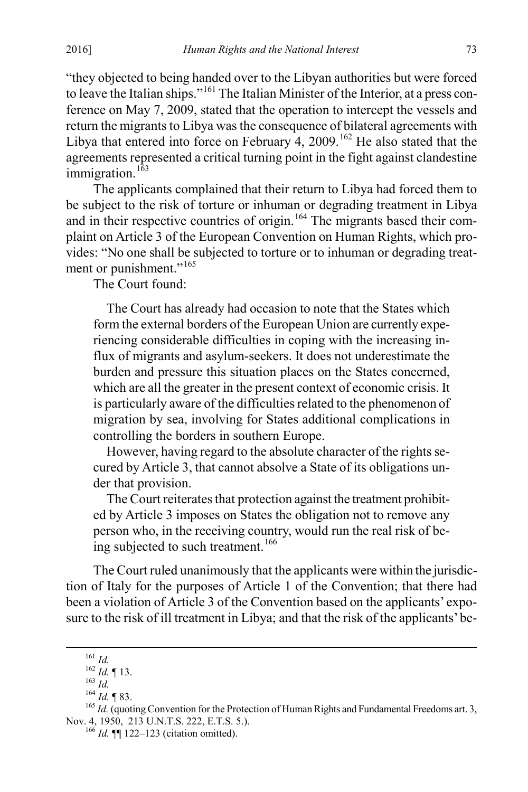"they objected to being handed over to the Libyan authorities but were forced to leave the Italian ships."[161](#page-27-0) The Italian Minister of the Interior, at a press conference on May 7, 2009, stated that the operation to intercept the vessels and return the migrants to Libya was the consequence of bilateral agreements with Libya that entered into force on February  $4$ , 2009.<sup>[162](#page-27-1)</sup> He also stated that the agreements represented a critical turning point in the fight against clandestine immigration. $163$ 

The applicants complained that their return to Libya had forced them to be subject to the risk of torture or inhuman or degrading treatment in Libya and in their respective countries of origin.<sup>[164](#page-27-3)</sup> The migrants based their complaint on Article 3 of the European Convention on Human Rights, which provides: "No one shall be subjected to torture or to inhuman or degrading treat-ment or punishment."<sup>[165](#page-27-4)</sup>

The Court found:

The Court has already had occasion to note that the States which form the external borders of the European Union are currently experiencing considerable difficulties in coping with the increasing influx of migrants and asylum-seekers. It does not underestimate the burden and pressure this situation places on the States concerned, which are all the greater in the present context of economic crisis. It is particularly aware of the difficulties related to the phenomenon of migration by sea, involving for States additional complications in controlling the borders in southern Europe.

However, having regard to the absolute character of the rights secured by Article 3, that cannot absolve a State of its obligations under that provision.

The Court reiterates that protection against the treatment prohibited by Article 3 imposes on States the obligation not to remove any person who, in the receiving country, would run the real risk of be-ing subjected to such treatment.<sup>[166](#page-27-5)</sup>

The Court ruled unanimously that the applicants were within the jurisdiction of Italy for the purposes of Article 1 of the Convention; that there had been a violation of Article 3 of the Convention based on the applicants' exposure to the risk of ill treatment in Libya; and that the risk of the applicants' be-

<span id="page-27-4"></span><span id="page-27-3"></span><span id="page-27-2"></span><span id="page-27-1"></span><span id="page-27-0"></span><sup>&</sup>lt;sup>161</sup> *Id.*<br><sup>162</sup> *Id.* ¶ 13.<br><sup>163</sup> *Id.*  $\frac{164}{164}$  ¶ 83.<br><sup>165</sup> *Id.* (quoting Convention for the Protection of Human Rights and Fundamental Freedoms art. 3,<br>Nov. 4, 1950, 213 U.N.T.S. 222, E.T.S. 5.).

<span id="page-27-5"></span> $^{166}$  *Id.*  $\P\P$  122–123 (citation omitted).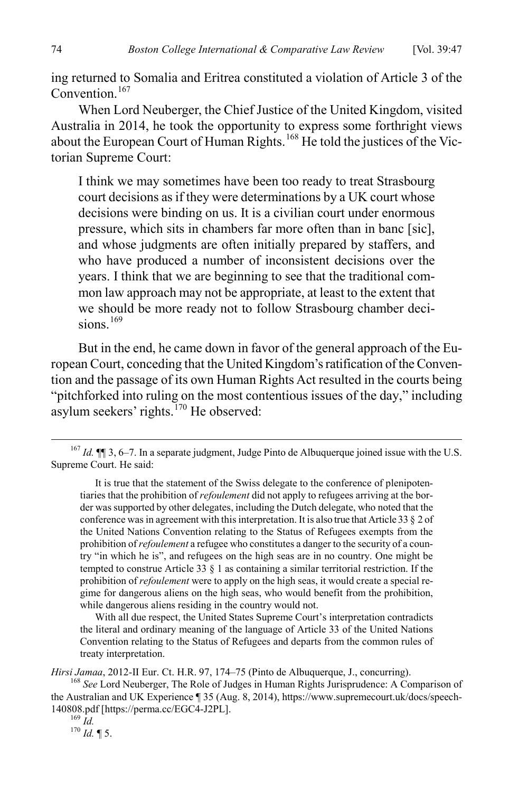<span id="page-28-0"></span>ing returned to Somalia and Eritrea constituted a violation of Article 3 of the Convention<sup>[167](#page-28-1)</sup>

When Lord Neuberger, the Chief Justice of the United Kingdom, visited Australia in 2014, he took the opportunity to express some forthright views about the European Court of Human Rights.<sup>[168](#page-28-2)</sup> He told the justices of the Victorian Supreme Court:

<span id="page-28-5"></span>I think we may sometimes have been too ready to treat Strasbourg court decisions as if they were determinations by a UK court whose decisions were binding on us. It is a civilian court under enormous pressure, which sits in chambers far more often than in banc [sic], and whose judgments are often initially prepared by staffers, and who have produced a number of inconsistent decisions over the years. I think that we are beginning to see that the traditional common law approach may not be appropriate, at least to the extent that we should be more ready not to follow Strasbourg chamber decisions $169$ 

But in the end, he came down in favor of the general approach of the European Court, conceding that the United Kingdom's ratification of the Convention and the passage of its own Human Rights Act resulted in the courts being "pitchforked into ruling on the most contentious issues of the day," including asylum seekers' rights.<sup> $170$ </sup> He observed:

With all due respect, the United States Supreme Court's interpretation contradicts the literal and ordinary meaning of the language of Article 33 of the United Nations Convention relating to the Status of Refugees and departs from the common rules of treaty interpretation.

<span id="page-28-2"></span>

*Hirsi Jamaa*, 2012-II Eur. Ct. H.R. 97, 174–75 (Pinto de Albuquerque, J., concurring).<br><sup>168</sup> *See* Lord Neuberger, The Role of Judges in Human Rights Jurisprudence: A Comparison of the Australian and UK Experience ¶ 35 (Aug. 8, 2014), https://www.supremecourt.uk/docs/speech-140808.pdf [https://perma.cc/EGC4-J2PL]. <sup>169</sup> *Id.* <sup>170</sup> *Id.* ¶ 5.

<span id="page-28-1"></span> <sup>167</sup> *Id.* ¶¶ 3, 6–7. In a separate judgment, Judge Pinto de Albuquerque joined issue with the U.S. Supreme Court. He said:

It is true that the statement of the Swiss delegate to the conference of plenipotentiaries that the prohibition of *refoulement* did not apply to refugees arriving at the border was supported by other delegates, including the Dutch delegate, who noted that the conference was in agreement with this interpretation. It is also true that Article 33 § 2 of the United Nations Convention relating to the Status of Refugees exempts from the prohibition of *refoulement* a refugee who constitutes a danger to the security of a country "in which he is", and refugees on the high seas are in no country. One might be tempted to construe Article 33 § 1 as containing a similar territorial restriction. If the prohibition of *refoulement* were to apply on the high seas, it would create a special regime for dangerous aliens on the high seas, who would benefit from the prohibition, while dangerous aliens residing in the country would not.

<span id="page-28-4"></span><span id="page-28-3"></span>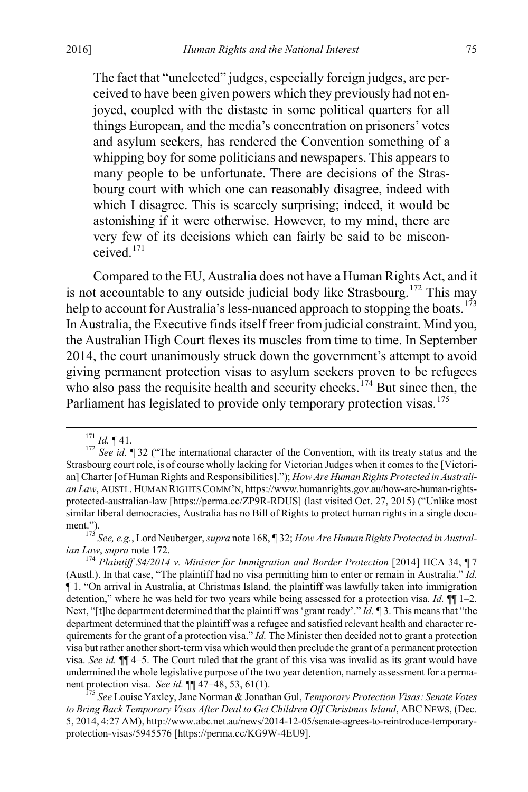The fact that "unelected" judges, especially foreign judges, are perceived to have been given powers which they previously had not enjoyed, coupled with the distaste in some political quarters for all things European, and the media's concentration on prisoners' votes and asylum seekers, has rendered the Convention something of a whipping boy for some politicians and newspapers. This appears to many people to be unfortunate. There are decisions of the Strasbourg court with which one can reasonably disagree, indeed with which I disagree. This is scarcely surprising; indeed, it would be astonishing if it were otherwise. However, to my mind, there are very few of its decisions which can fairly be said to be misconceived.[171](#page-29-1)

<span id="page-29-0"></span>Compared to the EU, Australia does not have a Human Rights Act, and it is not accountable to any outside judicial body like Strasbourg.<sup>[172](#page-29-2)</sup> This may help to account for Australia's less-nuanced approach to stopping the boats.<sup>[173](#page-29-3)</sup> In Australia, the Executive finds itself freer from judicial constraint. Mind you, the Australian High Court flexes its muscles from time to time. In September 2014, the court unanimously struck down the government's attempt to avoid giving permanent protection visas to asylum seekers proven to be refugees who also pass the requisite health and security checks.<sup>[174](#page-29-4)</sup> But since then, the Parliament has legislated to provide only temporary protection visas.<sup>[175](#page-29-5)</sup>

<span id="page-29-2"></span><span id="page-29-1"></span><sup>171</sup> *Id.* ¶ 41. <sup>172</sup> *See id.* ¶ 32 ("The international character of the Convention, with its treaty status and the Strasbourg court role, is of course wholly lacking for Victorian Judges when it comes to the [Victorian] Charter [of Human Rights and Responsibilities]."); *How Are Human Rights Protected in Australian Law*, AUSTL. HUMAN RIGHTS COMM'N, https://www.humanrights.gov.au/how-are-human-rightsprotected-australian-law [https://perma.cc/ZP9R-RDUS] (last visited Oct. 27, 2015) ("Unlike most similar liberal democracies, Australia has no Bill of Rights to protect human rights in a single docu-

<span id="page-29-3"></span>ment.").<br><sup>173</sup> *See, e.g.*, Lord Neuberger, *supra* not[e 168,](#page-28-5) ¶ 32; *How Are Human Rights Protected in Austral-*<br>*ian Law, supra* note 172.

<span id="page-29-4"></span><sup>&</sup>lt;sup>174</sup> Plaintiff S4/2014 v. Minister for Immigration and Border Protection [2014] HCA 34, ¶ 7 (Austl.). In that case, "The plaintiff had no visa permitting him to enter or remain in Australia." *Id.* ¶ 1. "On arrival in Australia, at Christmas Island, the plaintiff was lawfully taken into immigration detention," where he was held for two years while being assessed for a protection visa. *Id.* ¶¶ 1–2. Next, "[t]he department determined that the plaintiff was 'grant ready'." *Id.* ¶ 3. This means that "the department determined that the plaintiff was a refugee and satisfied relevant health and character requirements for the grant of a protection visa." *Id.* The Minister then decided not to grant a protection visa but rather another short-term visa which would then preclude the grant of a permanent protection visa. *See id.* ¶¶ 4–5. The Court ruled that the grant of this visa was invalid as its grant would have undermined the whole legislative purpose of the two year detention, namely assessment for a permanent protection visa. *See id.* ¶¶ 47–48, 53, 61(1). <sup>175</sup> *See* Louise Yaxley, Jane Norman & Jonathan Gul, *Temporary Protection Visas: Senate Votes* 

<span id="page-29-5"></span>to Bring Back Temporary Visas After Deal to Get Children Off Christmas Island, ABC NEWS, (Dec. 5, 2014, 4:27 AM), http://www.abc.net.au/news/2014-12-05/senate-agrees-to-reintroduce-temporaryprotection-visas/5945576 [https://perma.cc/KG9W-4EU9].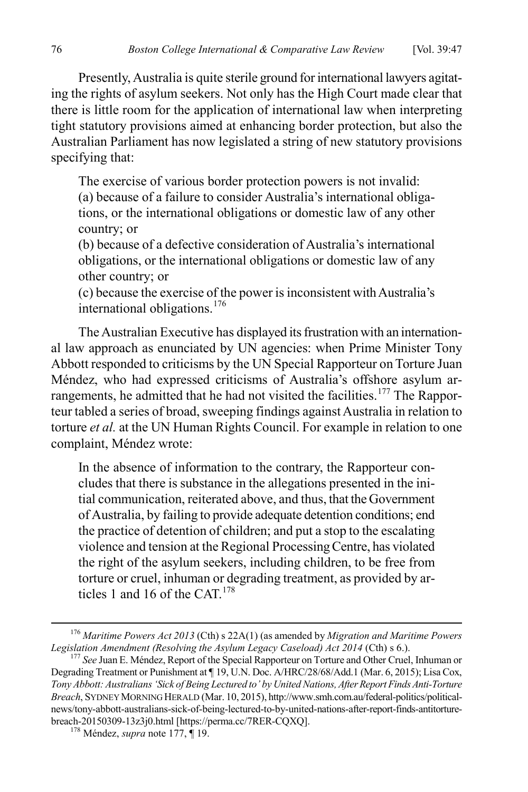Presently, Australia is quite sterile ground for international lawyers agitating the rights of asylum seekers. Not only has the High Court made clear that there is little room for the application of international law when interpreting tight statutory provisions aimed at enhancing border protection, but also the Australian Parliament has now legislated a string of new statutory provisions specifying that:

The exercise of various border protection powers is not invalid: (a) because of a failure to consider Australia's international obligations, or the international obligations or domestic law of any other country; or

(b) because of a defective consideration of Australia's international obligations, or the international obligations or domestic law of any other country; or

(c) because the exercise of the power is inconsistent with Australia's international obligations.<sup>[176](#page-30-1)</sup>

The Australian Executive has displayed its frustration with an international law approach as enunciated by UN agencies: when Prime Minister Tony Abbott responded to criticisms by the UN Special Rapporteur on Torture Juan Méndez, who had expressed criticisms of Australia's offshore asylum ar-rangements, he admitted that he had not visited the facilities.<sup>[177](#page-30-2)</sup> The Rapporteur tabled a series of broad, sweeping findings against Australia in relation to torture *et al.* at the UN Human Rights Council. For example in relation to one complaint, Méndez wrote:

<span id="page-30-0"></span>In the absence of information to the contrary, the Rapporteur concludes that there is substance in the allegations presented in the initial communication, reiterated above, and thus, that the Government of Australia, by failing to provide adequate detention conditions; end the practice of detention of children; and put a stop to the escalating violence and tension at the Regional Processing Centre, has violated the right of the asylum seekers, including children, to be free from torture or cruel, inhuman or degrading treatment, as provided by articles 1 and 16 of the CAT  $178$ 

<span id="page-30-1"></span> <sup>176</sup> *Maritime Powers Act 2013* (Cth) s 22A(1) (as amended by *Migration and Maritime Powers Legislation Amendment (Resolving the Asylum Legacy Caseload) Act 2014* (Cth) s 6.). <sup>177</sup> *See Juan E. Méndez, Report of the Special Rapporteur on Torture and Other Cruel, Inhuman or* 

<span id="page-30-2"></span>Degrading Treatment or Punishment at  $\P$  19, U.N. Doc. A/HRC/28/68/Add.1 (Mar. 6, 2015); Lisa Cox, *Tony Abbott: Australians 'Sick of Being Lectured to' by United Nations,After Report Finds Anti-Torture Breach*, SYDNEY MORNING HERALD (Mar. 10, 2015), http://www.smh.com.au/federal-politics/politicalnews/tony-abbott-australians-sick-of-being-lectured-to-by-united-nations-after-report-finds-antitorturebreach-20150309-13z3j0.html [https://perma.cc/7RER-CQXQ]. <sup>178</sup> Méndez, *supra* note [177,](#page-30-0) ¶ 19.

<span id="page-30-3"></span>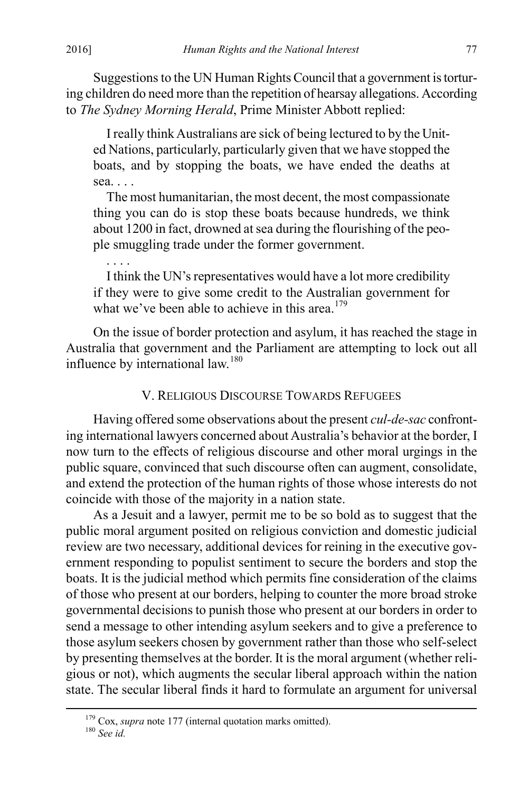Suggestions to the UN Human Rights Council that a government is torturing children do need more than the repetition of hearsay allegations. According to *The Sydney Morning Herald*, Prime Minister Abbott replied:

I really think Australians are sick of being lectured to by the United Nations, particularly, particularly given that we have stopped the boats, and by stopping the boats, we have ended the deaths at sea. . . .

The most humanitarian, the most decent, the most compassionate thing you can do is stop these boats because hundreds, we think about 1200 in fact, drowned at sea during the flourishing of the people smuggling trade under the former government.

I think the UN's representatives would have a lot more credibility if they were to give some credit to the Australian government for what we've been able to achieve in this area.<sup>[179](#page-31-0)</sup>

On the issue of border protection and asylum, it has reached the stage in Australia that government and the Parliament are attempting to lock out all influence by international law.<sup>[180](#page-31-1)</sup>

#### V. RELIGIOUS DISCOURSE TOWARDS REFUGEES

Having offered some observations about the present *cul-de-sac* confronting international lawyers concerned about Australia's behavior at the border, I now turn to the effects of religious discourse and other moral urgings in the public square, convinced that such discourse often can augment, consolidate, and extend the protection of the human rights of those whose interests do not coincide with those of the majority in a nation state.

As a Jesuit and a lawyer, permit me to be so bold as to suggest that the public moral argument posited on religious conviction and domestic judicial review are two necessary, additional devices for reining in the executive government responding to populist sentiment to secure the borders and stop the boats. It is the judicial method which permits fine consideration of the claims of those who present at our borders, helping to counter the more broad stroke governmental decisions to punish those who present at our borders in order to send a message to other intending asylum seekers and to give a preference to those asylum seekers chosen by government rather than those who self-select by presenting themselves at the border. It is the moral argument (whether religious or not), which augments the secular liberal approach within the nation state. The secular liberal finds it hard to formulate an argument for universal

. . . .

<span id="page-31-1"></span><span id="page-31-0"></span><sup>&</sup>lt;sup>179</sup> Cox, *supra* note [177](#page-30-0) (internal quotation marks omitted). <sup>180</sup> *See id.*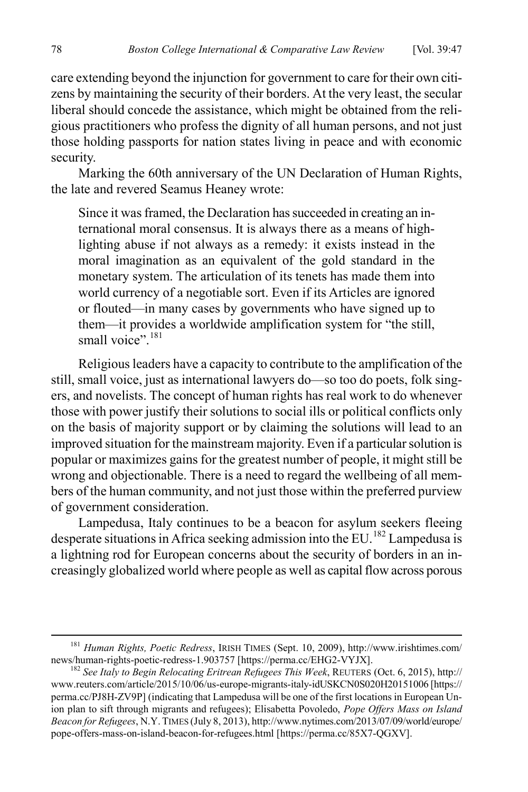care extending beyond the injunction for government to care for their own citizens by maintaining the security of their borders. At the very least, the secular liberal should concede the assistance, which might be obtained from the religious practitioners who profess the dignity of all human persons, and not just those holding passports for nation states living in peace and with economic security.

Marking the 60th anniversary of the UN Declaration of Human Rights, the late and revered Seamus Heaney wrote:

Since it was framed, the Declaration has succeeded in creating an international moral consensus. It is always there as a means of highlighting abuse if not always as a remedy: it exists instead in the moral imagination as an equivalent of the gold standard in the monetary system. The articulation of its tenets has made them into world currency of a negotiable sort. Even if its Articles are ignored or flouted—in many cases by governments who have signed up to them—it provides a worldwide amplification system for "the still, small voice".  $181$ 

Religious leaders have a capacity to contribute to the amplification of the still, small voice, just as international lawyers do—so too do poets, folk singers, and novelists. The concept of human rights has real work to do whenever those with power justify their solutions to social ills or political conflicts only on the basis of majority support or by claiming the solutions will lead to an improved situation for the mainstream majority. Even if a particular solution is popular or maximizes gains for the greatest number of people, it might still be wrong and objectionable. There is a need to regard the wellbeing of all members of the human community, and not just those within the preferred purview of government consideration.

<span id="page-32-2"></span>Lampedusa, Italy continues to be a beacon for asylum seekers fleeing desperate situations in Africa seeking admission into the EU.<sup>[182](#page-32-1)</sup> Lampedusa is a lightning rod for European concerns about the security of borders in an increasingly globalized world where people as well as capital flow across porous

<span id="page-32-0"></span><sup>&</sup>lt;sup>181</sup> *Human Rights, Poetic Redress*, IRISH TIMES (Sept. 10, 2009), http://www.irishtimes.com/<br>news/human-rights-poetic-redress-1.903757 [https://perma.cc/EHG2-VYJX].

<span id="page-32-1"></span><sup>&</sup>lt;sup>182</sup> See Italy to Begin Relocating Eritrean Refugees This Week, REUTERS (Oct. 6, 2015), http:// www.reuters.com/article/2015/10/06/us-europe-migrants-italy-idUSKCN0S020H20151006 [https:// perma.cc/PJ8H-ZV9P] (indicating that Lampedusa will be one of the first locations in European Union plan to sift through migrants and refugees); Elisabetta Povoledo, *Pope Offers Mass on Island Beacon for Refugees*, N.Y. TIMES (July 8, 2013), http://www.nytimes.com/2013/07/09/world/europe/ pope-offers-mass-on-island-beacon-for-refugees.html [https://perma.cc/85X7-QGXV].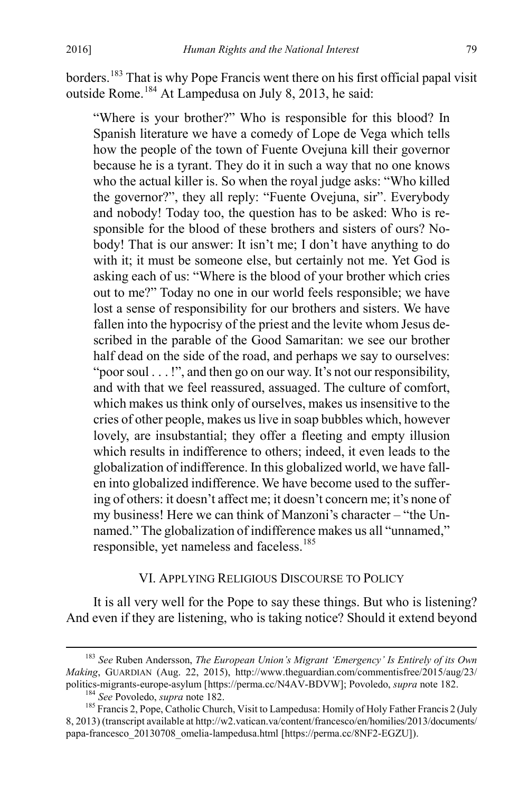borders.<sup>[183](#page-33-0)</sup> That is why Pope Francis went there on his first official papal visit outside Rome.[184](#page-33-1) At Lampedusa on July 8, 2013, he said:

"Where is your brother?" Who is responsible for this blood? In Spanish literature we have a comedy of Lope de Vega which tells how the people of the town of Fuente Ovejuna kill their governor because he is a tyrant. They do it in such a way that no one knows who the actual killer is. So when the royal judge asks: "Who killed the governor?", they all reply: "Fuente Ovejuna, sir". Everybody and nobody! Today too, the question has to be asked: Who is responsible for the blood of these brothers and sisters of ours? Nobody! That is our answer: It isn't me; I don't have anything to do with it; it must be someone else, but certainly not me. Yet God is asking each of us: "Where is the blood of your brother which cries out to me?" Today no one in our world feels responsible; we have lost a sense of responsibility for our brothers and sisters. We have fallen into the hypocrisy of the priest and the levite whom Jesus described in the parable of the Good Samaritan: we see our brother half dead on the side of the road, and perhaps we say to ourselves: "poor soul . . . !", and then go on our way. It's not our responsibility, and with that we feel reassured, assuaged. The culture of comfort, which makes us think only of ourselves, makes us insensitive to the cries of other people, makes us live in soap bubbles which, however lovely, are insubstantial; they offer a fleeting and empty illusion which results in indifference to others; indeed, it even leads to the globalization of indifference. In this globalized world, we have fallen into globalized indifference. We have become used to the suffering of others: it doesn't affect me; it doesn't concern me; it's none of my business! Here we can think of Manzoni's character – "the Unnamed." The globalization of indifference makes us all "unnamed," responsible, yet nameless and faceless.<sup>[185](#page-33-2)</sup>

#### VI. APPLYING RELIGIOUS DISCOURSE TO POLICY

It is all very well for the Pope to say these things. But who is listening? And even if they are listening, who is taking notice? Should it extend beyond

<span id="page-33-0"></span> <sup>183</sup> *See* Ruben Andersson, *The European Union's Migrant 'Emergency' Is Entirely of its Own Making*, GUARDIAN (Aug. 22, 2015), http://www.theguardian.com/commentisfree/2015/aug/23/<br>politics-migrants-europe-asylum [https://perma.cc/N4AV-BDVW]; Povoledo, *supra* note 182.

<span id="page-33-2"></span><span id="page-33-1"></span><sup>&</sup>lt;sup>184</sup> See Povoledo, *supra* not[e 182.](#page-32-2)<br><sup>185</sup> Francis 2, Pope, Catholic Church, Visit to Lampedusa: Homily of Holy Father Francis 2 (July 8, 2013) (transcript available at http://w2.vatican.va/content/francesco/en/homilies/2013/documents/ papa-francesco\_20130708\_omelia-lampedusa.html [https://perma.cc/8NF2-EGZU]).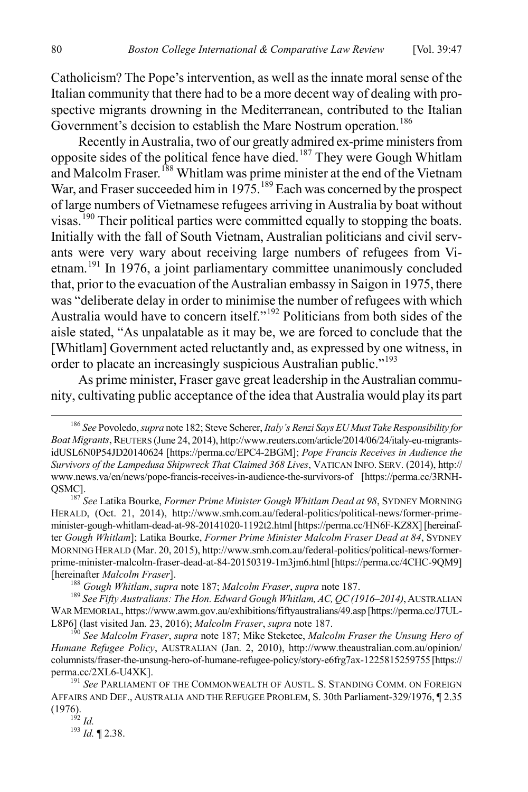Catholicism? The Pope's intervention, as well asthe innate moral sense of the Italian community that there had to be a more decent way of dealing with prospective migrants drowning in the Mediterranean, contributed to the Italian Government's decision to establish the Mare Nostrum operation.<sup>[186](#page-34-1)</sup>

<span id="page-34-9"></span><span id="page-34-0"></span>Recently in Australia, two of our greatly admired ex-prime ministers from opposite sides of the political fence have died.<sup>[187](#page-34-2)</sup> They were Gough Whitlam and Malcolm Fraser.<sup>[188](#page-34-3)</sup> Whitlam was prime minister at the end of the Vietnam War, and Fraser succeeded him in 1975.<sup>[189](#page-34-4)</sup> Each was concerned by the prospect of large numbers of Vietnamese refugees arriving in Australia by boat without visas.<sup>[190](#page-34-5)</sup> Their political parties were committed equally to stopping the boats. Initially with the fall of South Vietnam, Australian politicians and civil servants were very wary about receiving large numbers of refugees from Vietnam.[191](#page-34-6) In 1976, a joint parliamentary committee unanimously concluded that, prior to the evacuation of the Australian embassy in Saigon in 1975, there was "deliberate delay in order to minimise the number of refugees with which Australia would have to concern itself."[192](#page-34-7) Politicians from both sides of the aisle stated, "As unpalatable as it may be, we are forced to conclude that the [Whitlam] Government acted reluctantly and, as expressed by one witness, in order to placate an increasingly suspicious Australian public."[193](#page-34-8)

As prime minister, Fraser gave great leadership in the Australian community, cultivating public acceptance of the idea that Australia would play its part

<span id="page-34-4"></span><span id="page-34-3"></span><sup>188</sup> Gough Whitlam, supra note 187; Malcolm Fraser, supra note 187.<br><sup>189</sup> See Fifty Australians: The Hon. Edward Gough Whitlam, AC, QC (1916–2014), AUSTRALIAN WAR MEMORIAL, https://www.awm.gov.au/exhibitions/fiftyaustralians/49.asp [https://perma.cc/J7UL-L8P6] (last visited Jan. 23, 2016); *Malcolm Fraser*, *supra* not[e 187.](#page-34-0)<br><sup>190</sup> *See Malcolm Fraser*, *supra* note [187;](#page-34-0) Mike Steketee, *Malcolm Fraser the Unsung Hero of* 

<span id="page-34-5"></span>*Humane Refugee Policy*, AUSTRALIAN (Jan. 2, 2010), http://www.theaustralian.com.au/opinion/ columnists/fraser-the-unsung-hero-of-humane-refugee-policy/story-e6frg7ax-1225815259755 [https:// perma.cc/2XL6-U4XK]. <sup>191</sup> *See* PARLIAMENT OF THE COMMONWEALTH OF AUSTL. S. STANDING COMM. ON FOREIGN

<span id="page-34-1"></span> <sup>186</sup> *See* Povoledo, *supra* not[e 182;](#page-32-2) Steve Scherer, *Italy's Renzi Says EU Must Take Responsibility for Boat Migrants*, REUTERS (June 24, 2014), http://www.reuters.com/article/2014/06/24/italy-eu-migrantsidUSL6N0P54JD20140624 [https://perma.cc/EPC4-2BGM]; *Pope Francis Receives in Audience the Survivors of the Lampedusa Shipwreck That Claimed 368 Lives*, VATICAN INFO. SERV. (2014), http:// www.news.va/en/news/pope-francis-receives-in-audience-the-survivors-of [https://perma.cc/3RNH-

<span id="page-34-2"></span>QSMC]. <sup>187</sup> *See* Latika Bourke, *Former Prime Minister Gough Whitlam Dead at 98*, SYDNEY MORNING HERALD, (Oct. 21, 2014), http://www.smh.com.au/federal-politics/political-news/former-primeminister-gough-whitlam-dead-at-98-20141020-1192t2.html [https://perma.cc/HN6F-KZ8X] [hereinafter *Gough Whitlam*]; Latika Bourke, *Former Prime Minister Malcolm Fraser Dead at 84*, SYDNEY MORNING HERALD (Mar. 20, 2015), http://www.smh.com.au/federal-politics/political-news/formerprime-minister-malcolm-fraser-dead-at-84-20150319-1m3jm6.html [https://perma.cc/4CHC-9QM9]<br>[hereinafter *Malcolm Fraser*].

<span id="page-34-8"></span><span id="page-34-7"></span><span id="page-34-6"></span>AFFAIRS AND DEF., AUSTRALIA AND THE REFUGEE PROBLEM, S. 30th Parliament-329/1976, ¶ 2.35 Arra...<br>(1976).<br><sup>192</sup> *Id.* <sup>193</sup> *Id.* ¶ 2.38.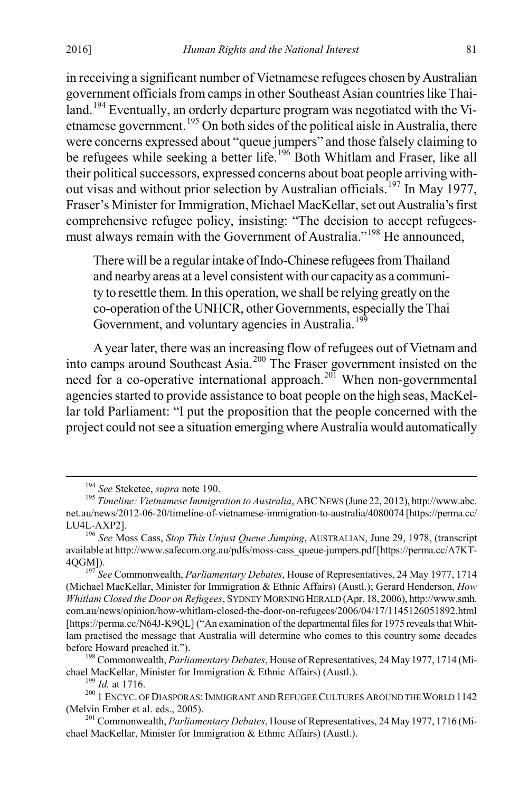in receiving a significant number of Vietnamese refugees chosen by Australian government officials from camps in other Southeast Asian countries like Thailand.<sup>194</sup> Eventually, an orderly departure program was negotiated with the Vietnamese government.[195](#page-35-1) On both sides of the political aisle in Australia, there were concerns expressed about "queue jumpers" and those falsely claiming to be refugees while seeking a better life.<sup>[196](#page-35-2)</sup> Both Whitlam and Fraser, like all their political successors, expressed concerns about boat people arriving without visas and without prior selection by Australian officials.<sup>197</sup> In May 1977, Fraser's Minister for Immigration, Michael MacKellar, set out Australia's first comprehensive refugee policy, insisting: "The decision to accept refugeesmust always remain with the Government of Australia."[198](#page-35-4) He announced,

<span id="page-35-8"></span>There will be a regular intake of Indo-Chinese refugees from Thailand and nearby areas at a level consistent with our capacity as a community to resettle them. In this operation, we shall be relying greatly on the co-operation of the UNHCR, other Governments, especially the Thai Government, and voluntary agencies in Australia.<sup>[199](#page-35-5)</sup>

A year later, there was an increasing flow of refugees out of Vietnam and into camps around Southeast Asia.[200](#page-35-6) The Fraser government insisted on the need for a co-operative international approach.<sup>[201](#page-35-7)</sup> When non-governmental agencies started to provide assistance to boat people on the high seas, MacKellar told Parliament: "I put the proposition that the people concerned with the project could not see a situation emerging where Australia would automatically

<span id="page-35-1"></span><span id="page-35-0"></span><sup>&</sup>lt;sup>194</sup> *See* Steketee, *supra* not[e 190.](#page-34-9)<br><sup>195</sup> *Timeline: Vietnamese Immigration to Australia*, ABCNEWS (June 22, 2012), http://www.abc. net.au/news/2012-06-20/timeline-of-vietnamese-immigration-to-australia/4080074 [https://perma.cc/ LU4L-AXP2]. <sup>196</sup> *See* Moss Cass, *Stop This Unjust Queue Jumping*, AUSTRALIAN, June 29, 1978, (transcript

<span id="page-35-2"></span>available at http://www.safecom.org.au/pdfs/moss-cass\_queue-jumpers.pdf [https://perma.cc/A7KT-

<span id="page-35-3"></span><sup>4</sup>QGM]). 197 *See* Commonwealth, *Parliamentary Debates*, House of Representatives, 24 May 1977, 1714 (Michael MacKellar, Minister for Immigration & Ethnic Affairs) (Austl.); Gerard Henderson, *How Whitlam Closed the Door on Refugees*, SYDNEY MORNING HERALD (Apr. 18, 2006), http://www.smh. com.au/news/opinion/how-whitlam-closed-the-door-on-refugees/2006/04/17/1145126051892.html [https://perma.cc/N64J-K9QL] ("An examination of the departmental files for 1975 reveals that Whitlam practised the message that Australia will determine who comes to this country some decades

<span id="page-35-4"></span>before Howard preached it.").<br><sup>198</sup> Commonwealth, *Parliamentary Debates*, House of Representatives, 24 May 1977, 1714 (Mi-<br>chael MacKellar, Minister for Immigration & Ethnic Affairs) (Austl.).

<span id="page-35-6"></span><span id="page-35-5"></span><sup>&</sup>lt;sup>199</sup> Id. at 1716.<br><sup>200</sup> 1 ENCYC. OF DIASPORAS: IMMIGRANT AND REFUGEE CULTURES AROUND THE WORLD 1142 (Melvin Ember et al. eds., 2005). <sup>201</sup> Commonwealth, *Parliamentary Debates*, House of Representatives, 24 May 1977, 1716 (Mi-

<span id="page-35-7"></span>chael MacKellar, Minister for Immigration & Ethnic Affairs) (Austl.).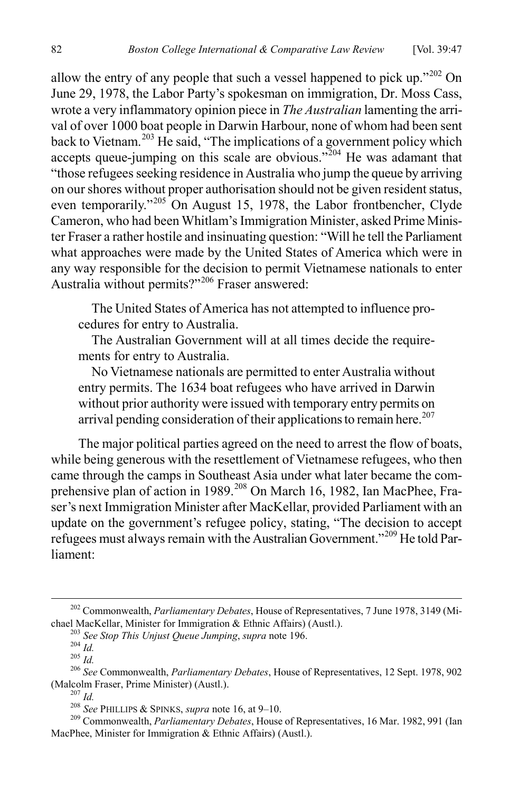allow the entry of any people that such a vessel happened to pick up.<sup> $202$ </sup> On June 29, 1978, the Labor Party's spokesman on immigration, Dr. Moss Cass, wrote a very inflammatory opinion piece in *The Australian* lamenting the arrival of over 1000 boat people in Darwin Harbour, none of whom had been sent back to Vietnam.<sup>[203](#page-36-1)</sup> He said, "The implications of a government policy which accepts queue-jumping on this scale are obvious." $2^{04}$  He was adamant that "those refugees seeking residence in Australia who jump the queue by arriving on our shores without proper authorisation should not be given resident status, even temporarily."<sup>[205](#page-36-3)</sup> On August 15, 1978, the Labor frontbencher, Clyde Cameron, who had been Whitlam's Immigration Minister, asked Prime Minister Fraser a rather hostile and insinuating question: "Will he tell the Parliament what approaches were made by the United States of America which were in any way responsible for the decision to permit Vietnamese nationals to enter Australia without permits?"[206](#page-36-4) Fraser answered:

The United States of America has not attempted to influence procedures for entry to Australia.

The Australian Government will at all times decide the requirements for entry to Australia.

No Vietnamese nationals are permitted to enter Australia without entry permits. The 1634 boat refugees who have arrived in Darwin without prior authority were issued with temporary entry permits on arrival pending consideration of their applications to remain here.<sup>[207](#page-36-5)</sup>

The major political parties agreed on the need to arrest the flow of boats, while being generous with the resettlement of Vietnamese refugees, who then came through the camps in Southeast Asia under what later became the com-prehensive plan of action in 1989.<sup>[208](#page-36-6)</sup> On March 16, 1982, Ian MacPhee, Fraser's next Immigration Minister after MacKellar, provided Parliament with an update on the government's refugee policy, stating, "The decision to accept refugees must always remain with the Australian Government."[209](#page-36-7) He told Parliament:

<span id="page-36-0"></span><sup>&</sup>lt;sup>202</sup> Commonwealth, *Parliamentary Debates*, House of Representatives, 7 June 1978, 3149 (Mi-chael MacKellar, Minister for Immigration & Ethnic Affairs) (Austl.).

<span id="page-36-4"></span><span id="page-36-3"></span><span id="page-36-2"></span><span id="page-36-1"></span><sup>&</sup>lt;sup>203</sup> See Stop This Unjust Queue Jumping, supra note [196.](#page-35-8)<br><sup>204</sup> Id.<br><sup>205</sup> Id. *205* Id. Commonwealth, *Parliamentary Debates*, House of Representatives, 12 Sept. 1978, 902 (Malcolm Fraser, Prime Minister) (Austl.).<br><sup>207</sup> *Id.* <sup>208</sup> *See* PHILLIPS & SPINKS, *supra* not[e 16,](#page-3-1) at 9–10.<br><sup>209</sup> Commonwealth, *Parliamentary Debates*, House of Representatives, 16 Mar. 1982, 991 (Ian

<span id="page-36-7"></span><span id="page-36-6"></span><span id="page-36-5"></span>MacPhee, Minister for Immigration & Ethnic Affairs) (Austl.).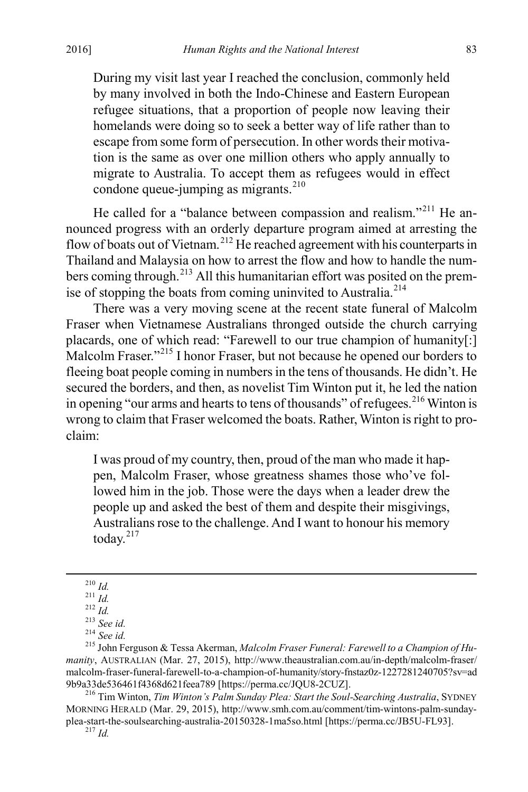During my visit last year I reached the conclusion, commonly held by many involved in both the Indo-Chinese and Eastern European refugee situations, that a proportion of people now leaving their homelands were doing so to seek a better way of life rather than to escape from some form of persecution. In other words their motivation is the same as over one million others who apply annually to migrate to Australia. To accept them as refugees would in effect condone queue-jumping as migrants. $210$ 

He called for a "balance between compassion and realism."<sup>[211](#page-37-1)</sup> He announced progress with an orderly departure program aimed at arresting the flow of boats out of Vietnam.<sup>[212](#page-37-2)</sup> He reached agreement with his counterparts in Thailand and Malaysia on how to arrest the flow and how to handle the numbers coming through.[213](#page-37-3) All this humanitarian effort was posited on the prem-ise of stopping the boats from coming uninvited to Australia.<sup>[214](#page-37-4)</sup>

There was a very moving scene at the recent state funeral of Malcolm Fraser when Vietnamese Australians thronged outside the church carrying placards, one of which read: "Farewell to our true champion of humanity[:] Malcolm Fraser."<sup>[215](#page-37-5)</sup> I honor Fraser, but not because he opened our borders to fleeing boat people coming in numbers in the tens of thousands. He didn't. He secured the borders, and then, as novelist Tim Winton put it, he led the nation in opening "our arms and hearts to tens of thousands" of refugees.<sup>[216](#page-37-6)</sup> Winton is wrong to claim that Fraser welcomed the boats. Rather, Winton is right to proclaim:

<span id="page-37-8"></span>I was proud of my country, then, proud of the man who made it happen, Malcolm Fraser, whose greatness shames those who've followed him in the job. Those were the days when a leader drew the people up and asked the best of them and despite their misgivings, Australians rose to the challenge. And I want to honour his memory today.[217](#page-37-7)

<span id="page-37-7"></span><span id="page-37-6"></span><span id="page-37-5"></span>MORNING HERALD (Mar. 29, 2015), http://www.smh.com.au/comment/tim-wintons-palm-sundayplea-start-the-soulsearching-australia-20150328-1ma5so.html [https://perma.cc/JB5U-FL93]. 217 *Id.*

<span id="page-37-4"></span><span id="page-37-3"></span><span id="page-37-2"></span><span id="page-37-1"></span><span id="page-37-0"></span><sup>210</sup> *Id.* <sup>211</sup> *Id.* <sup>212</sup> *Id.* <sup>213</sup> *See id.* <sup>214</sup> *See id.* <sup>215</sup> John Ferguson & Tessa Akerman, *Malcolm Fraser Funeral: Farewell to a Champion of Humanity*, AUSTRALIAN (Mar. 27, 2015), http://www.theaustralian.com.au/in-depth/malcolm-fraser/ malcolm-fraser-funeral-farewell-to-a-champion-of-humanity/story-fnstaz0z-1227281240705?sv=ad 9b9a33de536461f4368d621feea789 [https://perma.cc/JQU8-2CUZ].<sup>216</sup> Tim Winton, *Tim Winton's Palm Sunday Plea: Start the Soul-Searching Australia*, SYDNEY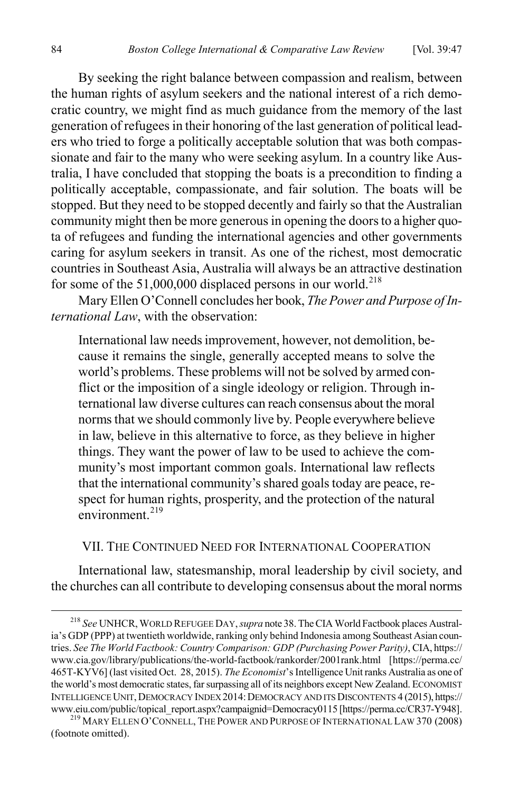By seeking the right balance between compassion and realism, between the human rights of asylum seekers and the national interest of a rich democratic country, we might find as much guidance from the memory of the last generation of refugees in their honoring of the last generation of political leaders who tried to forge a politically acceptable solution that was both compassionate and fair to the many who were seeking asylum. In a country like Australia, I have concluded that stopping the boats is a precondition to finding a politically acceptable, compassionate, and fair solution. The boats will be stopped. But they need to be stopped decently and fairly so that the Australian community might then be more generous in opening the doors to a higher quota of refugees and funding the international agencies and other governments caring for asylum seekers in transit. As one of the richest, most democratic countries in Southeast Asia, Australia will always be an attractive destination for some of the  $51,000,000$  displaced persons in our world.<sup>[218](#page-38-0)</sup>

Mary Ellen O'Connell concludes her book, *The Power and Purpose of International Law*, with the observation:

International law needs improvement, however, not demolition, because it remains the single, generally accepted means to solve the world's problems. These problems will not be solved by armed conflict or the imposition of a single ideology or religion. Through international law diverse cultures can reach consensus about the moral norms that we should commonly live by. People everywhere believe in law, believe in this alternative to force, as they believe in higher things. They want the power of law to be used to achieve the community's most important common goals. International law reflects that the international community's shared goals today are peace, respect for human rights, prosperity, and the protection of the natural  $\frac{1}{219}$  $\frac{1}{219}$  $\frac{1}{219}$ 

#### VII. THE CONTINUED NEED FOR INTERNATIONAL COOPERATION

International law, statesmanship, moral leadership by civil society, and the churches can all contribute to developing consensus about the moral norms

<span id="page-38-0"></span> <sup>218</sup> *See* UNHCR, WORLD REFUGEE DAY, *supra* not[e 38.](#page-5-14) The CIA World Factbook places Australia's GDP (PPP) at twentieth worldwide, ranking only behind Indonesia among Southeast Asian countries. *See The World Factbook: Country Comparison: GDP (Purchasing Power Parity)*, CIA, https:// www.cia.gov/library/publications/the-world-factbook/rankorder/2001rank.html [https://perma.cc/ 465T-KYV6] (last visited Oct. 28, 2015). *The Economist*'s Intelligence Unit ranks Australia as one of the world's most democratic states, far surpassing all of its neighbors except New Zealand. ECONOMIST INTELLIGENCE UNIT, DEMOCRACY INDEX 2014: DEMOCRACY AND ITS DISCONTENTS 4 (2015), https://<br>www.eiu.com/public/topical\_report.aspx?campaignid=Democracy0115 [https://perma.cc/CR37-Y948].

<span id="page-38-1"></span> $^{219}$  Mary Ellen O'Connell, The Power and Purpose of International Law 370 (2008). (footnote omitted).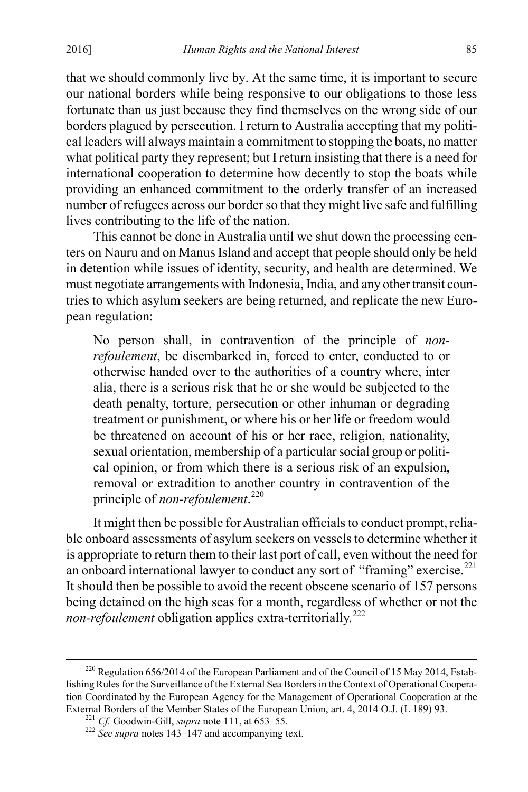that we should commonly live by. At the same time, it is important to secure our national borders while being responsive to our obligations to those less fortunate than us just because they find themselves on the wrong side of our borders plagued by persecution. I return to Australia accepting that my political leaders will always maintain a commitment to stopping the boats, no matter what political party they represent; but I return insisting that there is a need for international cooperation to determine how decently to stop the boats while providing an enhanced commitment to the orderly transfer of an increased number of refugees across our border so that they might live safe and fulfilling lives contributing to the life of the nation.

This cannot be done in Australia until we shut down the processing centers on Nauru and on Manus Island and accept that people should only be held in detention while issues of identity, security, and health are determined. We must negotiate arrangements with Indonesia, India, and any other transit countries to which asylum seekers are being returned, and replicate the new European regulation:

No person shall, in contravention of the principle of *nonrefoulement*, be disembarked in, forced to enter, conducted to or otherwise handed over to the authorities of a country where, inter alia, there is a serious risk that he or she would be subjected to the death penalty, torture, persecution or other inhuman or degrading treatment or punishment, or where his or her life or freedom would be threatened on account of his or her race, religion, nationality, sexual orientation, membership of a particular social group or political opinion, or from which there is a serious risk of an expulsion, removal or extradition to another country in contravention of the principle of *non-refoulement*. [220](#page-39-0)

It might then be possible for Australian officials to conduct prompt, reliable onboard assessments of asylum seekers on vessels to determine whether it is appropriate to return them to their last port of call, even without the need for an onboard international lawyer to conduct any sort of "framing" exercise.<sup>[221](#page-39-1)</sup> It should then be possible to avoid the recent obscene scenario of 157 persons being detained on the high seas for a month, regardless of whether or not the *non-refoulement* obligation applies extra-territorially.<sup>[222](#page-39-2)</sup>

<span id="page-39-1"></span><span id="page-39-0"></span> $220$  Regulation 656/2014 of the European Parliament and of the Council of 15 May 2014, Establishing Rules for the Surveillance of the External Sea Borders in the Context of Operational Cooperation Coordinated by the European Agency for the Management of Operational Cooperation at the External Borders of the Member States of the European Union, art. 4, 2014 O.J. (L 189) 93.<br><sup>221</sup> *Cf.* Goodwin-Gill, *supra* not[e 111,](#page-18-1) at 653–55.<br><sup>222</sup> *See supra* note[s 143](#page-25-8)[–147](#page-25-9) and accompanying text.

<span id="page-39-2"></span>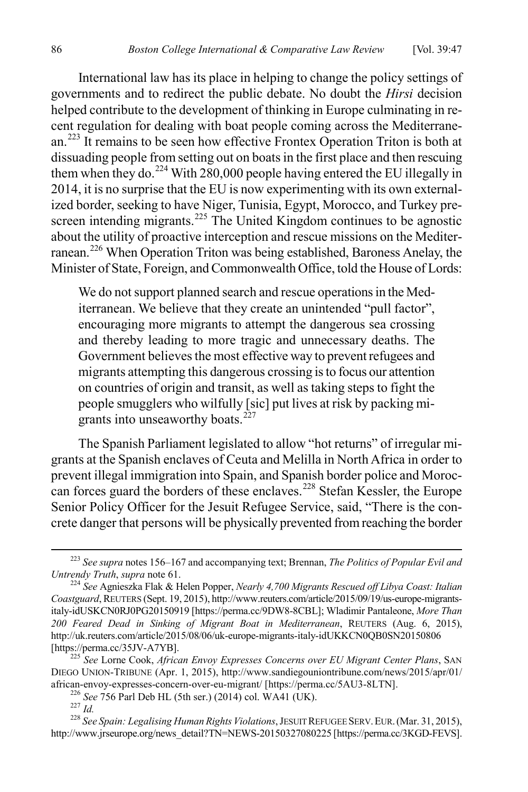International law has its place in helping to change the policy settings of governments and to redirect the public debate. No doubt the *Hirsi* decision helped contribute to the development of thinking in Europe culminating in recent regulation for dealing with boat people coming across the Mediterranean.[223](#page-40-0) It remains to be seen how effective Frontex Operation Triton is both at dissuading people from setting out on boats in the first place and then rescuing them when they do.<sup>[224](#page-40-1)</sup> With 280,000 people having entered the EU illegally in 2014, it is no surprise that the EU is now experimenting with its own externalized border, seeking to have Niger, Tunisia, Egypt, Morocco, and Turkey pre-screen intending migrants.<sup>[225](#page-40-2)</sup> The United Kingdom continues to be agnostic about the utility of proactive interception and rescue missions on the Mediter-ranean.<sup>[226](#page-40-3)</sup> When Operation Triton was being established, Baroness Anelay, the Minister of State, Foreign, and Commonwealth Office, told the House of Lords:

We do not support planned search and rescue operations in the Mediterranean. We believe that they create an unintended "pull factor", encouraging more migrants to attempt the dangerous sea crossing and thereby leading to more tragic and unnecessary deaths. The Government believes the most effective way to prevent refugees and migrants attempting this dangerous crossing is to focus our attention on countries of origin and transit, as well as taking steps to fight the people smugglers who wilfully [sic] put lives at risk by packing mi-grants into unseaworthy boats.<sup>[227](#page-40-4)</sup>

The Spanish Parliament legislated to allow "hot returns" of irregular migrants at the Spanish enclaves of Ceuta and Melilla in North Africa in order to prevent illegal immigration into Spain, and Spanish border police and Moroc-can forces guard the borders of these enclaves.<sup>[228](#page-40-5)</sup> Stefan Kessler, the Europe Senior Policy Officer for the Jesuit Refugee Service, said, "There is the concrete danger that persons will be physically prevented from reaching the border

<span id="page-40-0"></span> <sup>223</sup> *See supra* note[s 156](#page-26-10)[–167](#page-28-0) and accompanying text; Brennan, *The Politics of Popular Evil and* 

<span id="page-40-1"></span>*Untrendy Truth*, *supra* not[e 61.](#page-8-9) <sup>224</sup> *See* Agnieszka Flak & Helen Popper, *Nearly 4,700 Migrants Rescued off Libya Coast: Italian Coastguard*, REUTERS (Sept. 19, 2015), http://www.reuters.com/article/2015/09/19/us-europe-migrantsitaly-idUSKCN0RJ0PG20150919 [https://perma.cc/9DW8-8CBL]; Wladimir Pantaleone, *More Than 200 Feared Dead in Sinking of Migrant Boat in Mediterranean*, REUTERS (Aug. 6, 2015), http://uk.reuters.com/article/2015/08/06/uk-europe-migrants-italy-idUKKCN0QB0SN20150806 [https://perma.cc/35JV-A7YB]. <sup>225</sup> *See* Lorne Cook, *African Envoy Expresses Concerns over EU Migrant Center Plans*, SAN

<span id="page-40-2"></span>DIEGO UNION-TRIBUNE (Apr. 1, 2015), http://www.sandiegouniontribune.com/news/2015/apr/01/ african-envoy-expresses-concern-over-eu-migrant/ [https://perma.cc/5AU3-8LTN].<br><sup>226</sup> See 756 Parl Deb HL (5th ser.) (2014) col. WA41 (UK).<br><sup>227</sup> Id.<br><sup>228</sup> See Spain: Legalising Human Rights Violations, JESUIT REFUGEE SERV.

<span id="page-40-5"></span><span id="page-40-4"></span><span id="page-40-3"></span>http://www.jrseurope.org/news\_detail?TN=NEWS-20150327080225 [https://perma.cc/3KGD-FEVS].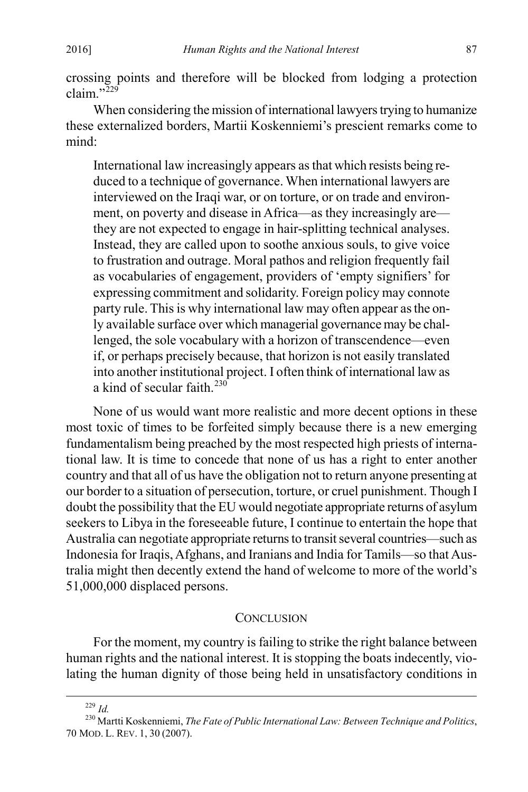crossing points and therefore will be blocked from lodging a protection claim."<sup>[229](#page-41-0)</sup>

When considering the mission of international lawyers trying to humanize these externalized borders, Martii Koskenniemi's prescient remarks come to mind:

International law increasingly appears as that which resists being reduced to a technique of governance. When international lawyers are interviewed on the Iraqi war, or on torture, or on trade and environment, on poverty and disease in Africa—as they increasingly are they are not expected to engage in hair-splitting technical analyses. Instead, they are called upon to soothe anxious souls, to give voice to frustration and outrage. Moral pathos and religion frequently fail as vocabularies of engagement, providers of 'empty signifiers' for expressing commitment and solidarity. Foreign policy may connote party rule. This is why international law may often appear as the only available surface over which managerial governance may be challenged, the sole vocabulary with a horizon of transcendence—even if, or perhaps precisely because, that horizon is not easily translated into another institutional project. I often think of international law as a kind of secular faith  $^{230}$  $^{230}$  $^{230}$ 

None of us would want more realistic and more decent options in these most toxic of times to be forfeited simply because there is a new emerging fundamentalism being preached by the most respected high priests of international law. It is time to concede that none of us has a right to enter another country and that all of us have the obligation not to return anyone presenting at our border to a situation of persecution, torture, or cruel punishment. Though I doubt the possibility that the EU would negotiate appropriate returns of asylum seekers to Libya in the foreseeable future, I continue to entertain the hope that Australia can negotiate appropriate returns to transit several countries—such as Indonesia for Iraqis, Afghans, and Iranians and India for Tamils—so that Australia might then decently extend the hand of welcome to more of the world's 51,000,000 displaced persons.

#### **CONCLUSION**

For the moment, my country is failing to strike the right balance between human rights and the national interest. It is stopping the boats indecently, violating the human dignity of those being held in unsatisfactory conditions in

<span id="page-41-1"></span><span id="page-41-0"></span><sup>229</sup> *Id.* <sup>230</sup> Martti Koskenniemi, *The Fate of Public International Law: Between Technique and Politics*, 70 MOD. L. REV. 1, 30 (2007).